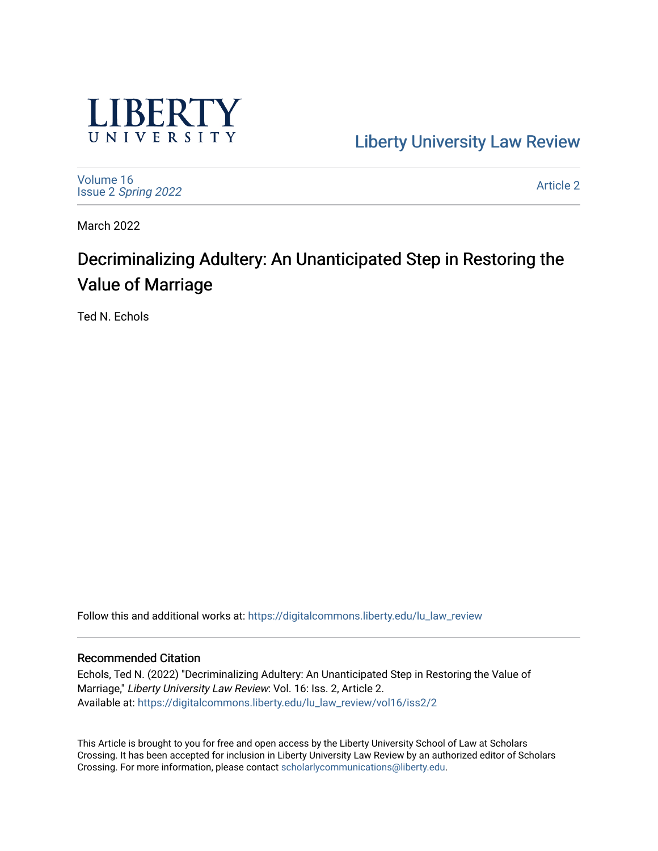

[Liberty University Law Review](https://digitalcommons.liberty.edu/lu_law_review) 

[Volume 16](https://digitalcommons.liberty.edu/lu_law_review/vol16) Issue 2 [Spring 2022](https://digitalcommons.liberty.edu/lu_law_review/vol16/iss2) 

[Article 2](https://digitalcommons.liberty.edu/lu_law_review/vol16/iss2/2) 

March 2022

# Decriminalizing Adultery: An Unanticipated Step in Restoring the Value of Marriage

Ted N. Echols

Follow this and additional works at: [https://digitalcommons.liberty.edu/lu\\_law\\_review](https://digitalcommons.liberty.edu/lu_law_review?utm_source=digitalcommons.liberty.edu%2Flu_law_review%2Fvol16%2Fiss2%2F2&utm_medium=PDF&utm_campaign=PDFCoverPages) 

# Recommended Citation

Echols, Ted N. (2022) "Decriminalizing Adultery: An Unanticipated Step in Restoring the Value of Marriage," Liberty University Law Review: Vol. 16: Iss. 2, Article 2. Available at: [https://digitalcommons.liberty.edu/lu\\_law\\_review/vol16/iss2/2](https://digitalcommons.liberty.edu/lu_law_review/vol16/iss2/2?utm_source=digitalcommons.liberty.edu%2Flu_law_review%2Fvol16%2Fiss2%2F2&utm_medium=PDF&utm_campaign=PDFCoverPages) 

This Article is brought to you for free and open access by the Liberty University School of Law at Scholars Crossing. It has been accepted for inclusion in Liberty University Law Review by an authorized editor of Scholars Crossing. For more information, please contact [scholarlycommunications@liberty.edu](mailto:scholarlycommunications@liberty.edu).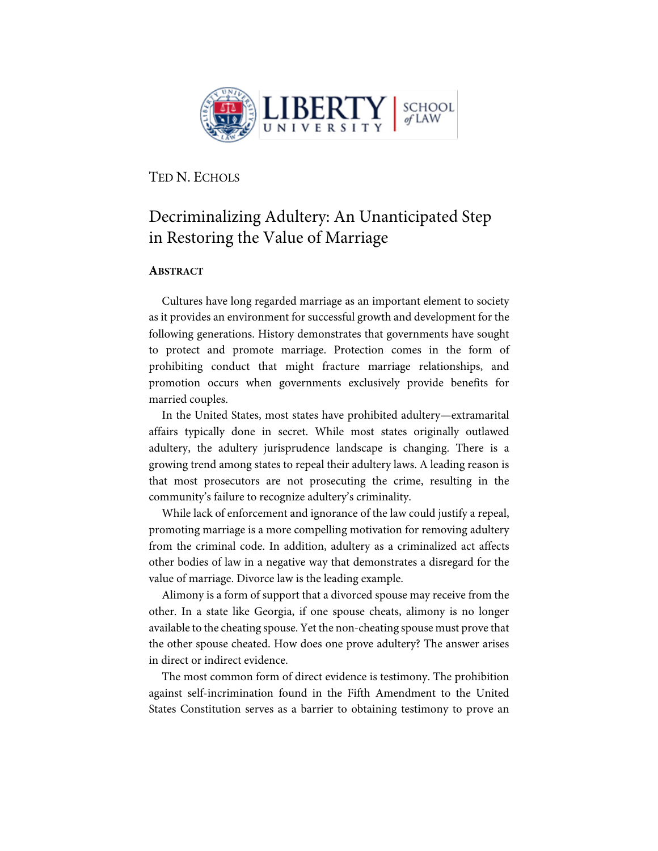

TED N. ECHOLS

# Decriminalizing Adultery: An Unanticipated Step in Restoring the Value of Marriage

# **ABSTRACT**

Cultures have long regarded marriage as an important element to society as it provides an environment for successful growth and development for the following generations. History demonstrates that governments have sought to protect and promote marriage. Protection comes in the form of prohibiting conduct that might fracture marriage relationships, and promotion occurs when governments exclusively provide benefits for married couples.

In the United States, most states have prohibited adultery—extramarital affairs typically done in secret. While most states originally outlawed adultery, the adultery jurisprudence landscape is changing. There is a growing trend among states to repeal their adultery laws. A leading reason is that most prosecutors are not prosecuting the crime, resulting in the community's failure to recognize adultery's criminality.

While lack of enforcement and ignorance of the law could justify a repeal, promoting marriage is a more compelling motivation for removing adultery from the criminal code. In addition, adultery as a criminalized act affects other bodies of law in a negative way that demonstrates a disregard for the value of marriage. Divorce law is the leading example.

Alimony is a form of support that a divorced spouse may receive from the other. In a state like Georgia, if one spouse cheats, alimony is no longer available to the cheating spouse. Yet the non-cheating spouse must prove that the other spouse cheated. How does one prove adultery? The answer arises in direct or indirect evidence.

The most common form of direct evidence is testimony. The prohibition against self-incrimination found in the Fifth Amendment to the United States Constitution serves as a barrier to obtaining testimony to prove an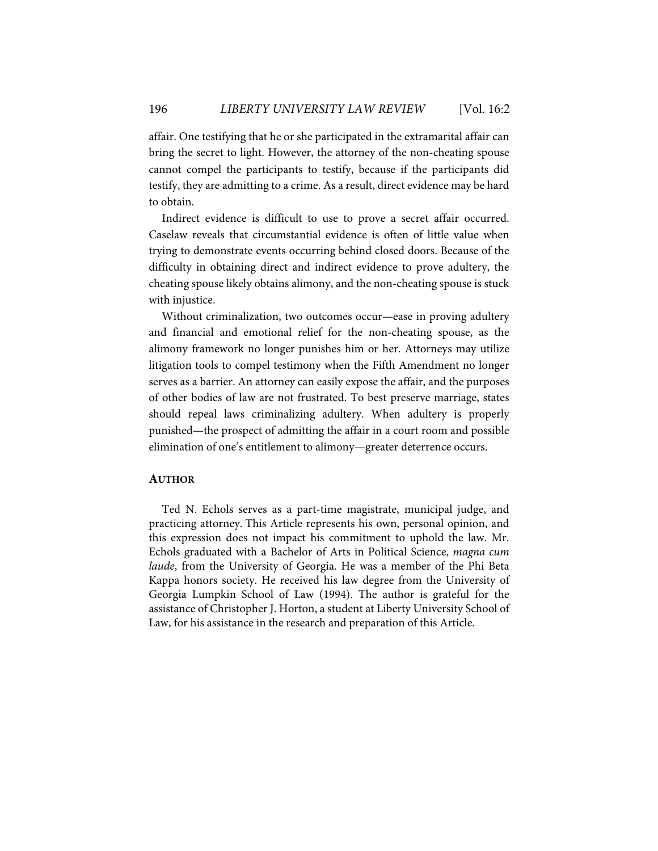affair. One testifying that he or she participated in the extramarital affair can bring the secret to light. However, the attorney of the non-cheating spouse cannot compel the participants to testify, because if the participants did testify, they are admitting to a crime. As a result, direct evidence may be hard to obtain.

Indirect evidence is difficult to use to prove a secret affair occurred. Caselaw reveals that circumstantial evidence is often of little value when trying to demonstrate events occurring behind closed doors. Because of the difficulty in obtaining direct and indirect evidence to prove adultery, the cheating spouse likely obtains alimony, and the non-cheating spouse is stuck with injustice.

Without criminalization, two outcomes occur—ease in proving adultery and financial and emotional relief for the non-cheating spouse, as the alimony framework no longer punishes him or her. Attorneys may utilize litigation tools to compel testimony when the Fifth Amendment no longer serves as a barrier. An attorney can easily expose the affair, and the purposes of other bodies of law are not frustrated. To best preserve marriage, states should repeal laws criminalizing adultery. When adultery is properly punished—the prospect of admitting the affair in a court room and possible elimination of one's entitlement to alimony—greater deterrence occurs.

## **AUTHOR**

Ted N. Echols serves as a part-time magistrate, municipal judge, and practicing attorney. This Article represents his own, personal opinion, and this expression does not impact his commitment to uphold the law. Mr. Echols graduated with a Bachelor of Arts in Political Science, *magna cum laude*, from the University of Georgia. He was a member of the Phi Beta Kappa honors society. He received his law degree from the University of Georgia Lumpkin School of Law (1994). The author is grateful for the assistance of Christopher J. Horton, a student at Liberty University School of Law, for his assistance in the research and preparation of this Article.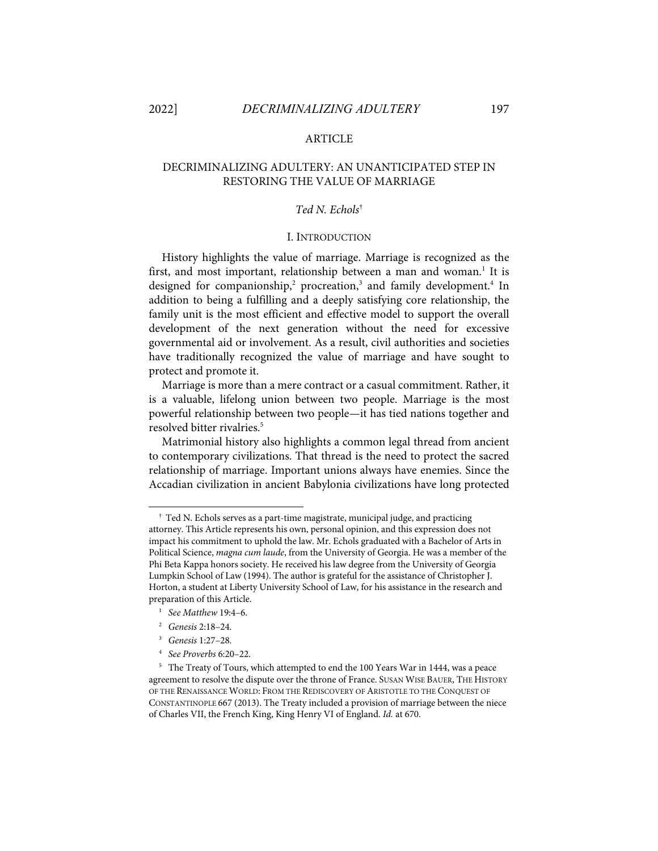# ARTICLE

# DECRIMINALIZING ADULTERY: AN UNANTICIPATED STEP IN RESTORING THE VALUE OF MARRIAGE

#### *Ted N. Echols*†

### I. INTRODUCTION

History highlights the value of marriage. Marriage is recognized as the first, and most important, relationship between a man and woman.<sup>1</sup> It is designed for companionship,<sup>2</sup> procreation,<sup>3</sup> and family development.<sup>4</sup> In addition to being a fulfilling and a deeply satisfying core relationship, the family unit is the most efficient and effective model to support the overall development of the next generation without the need for excessive governmental aid or involvement. As a result, civil authorities and societies have traditionally recognized the value of marriage and have sought to protect and promote it.

Marriage is more than a mere contract or a casual commitment. Rather, it is a valuable, lifelong union between two people. Marriage is the most powerful relationship between two people—it has tied nations together and resolved bitter rivalries.<sup>5</sup>

Matrimonial history also highlights a common legal thread from ancient to contemporary civilizations. That thread is the need to protect the sacred relationship of marriage. Important unions always have enemies. Since the Accadian civilization in ancient Babylonia civilizations have long protected

<sup>†</sup> Ted N. Echols serves as a part-time magistrate, municipal judge, and practicing attorney. This Article represents his own, personal opinion, and this expression does not impact his commitment to uphold the law. Mr. Echols graduated with a Bachelor of Arts in Political Science, *magna cum laude*, from the University of Georgia. He was a member of the Phi Beta Kappa honors society. He received his law degree from the University of Georgia Lumpkin School of Law (1994). The author is grateful for the assistance of Christopher J. Horton, a student at Liberty University School of Law, for his assistance in the research and preparation of this Article.

<sup>1</sup>  *See Matthew* 19:4–6.

<sup>2</sup>  *Genesis* 2:18–24.

<sup>3</sup>  *Genesis* 1:27–28.

<sup>4</sup>  *See Proverbs* 6:20–22.

<sup>&</sup>lt;sup>5</sup> The Treaty of Tours, which attempted to end the 100 Years War in 1444, was a peace agreement to resolve the dispute over the throne of France. SUSAN WISE BAUER, THE HISTORY OF THE RENAISSANCE WORLD: FROM THE REDISCOVERY OF ARISTOTLE TO THE CONQUEST OF CONSTANTINOPLE 667 (2013). The Treaty included a provision of marriage between the niece of Charles VII, the French King, King Henry VI of England. *Id.* at 670.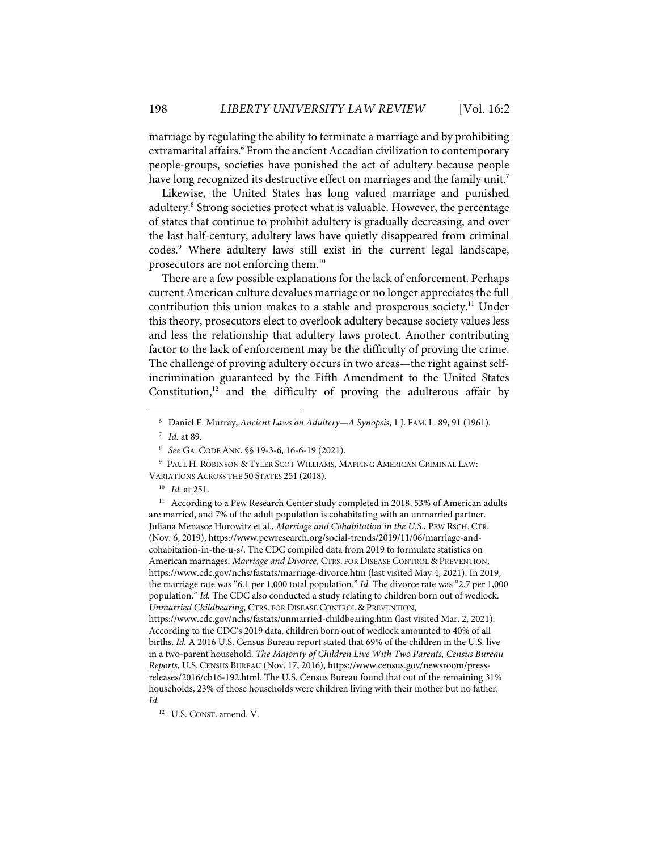marriage by regulating the ability to terminate a marriage and by prohibiting extramarital affairs.<sup>6</sup> From the ancient Accadian civilization to contemporary people-groups, societies have punished the act of adultery because people have long recognized its destructive effect on marriages and the family unit.<sup>7</sup>

Likewise, the United States has long valued marriage and punished adultery.<sup>8</sup> Strong societies protect what is valuable. However, the percentage of states that continue to prohibit adultery is gradually decreasing, and over the last half-century, adultery laws have quietly disappeared from criminal codes.9 Where adultery laws still exist in the current legal landscape, prosecutors are not enforcing them. $^{\rm 10}$ 

There are a few possible explanations for the lack of enforcement. Perhaps current American culture devalues marriage or no longer appreciates the full contribution this union makes to a stable and prosperous society.<sup>11</sup> Under this theory, prosecutors elect to overlook adultery because society values less and less the relationship that adultery laws protect. Another contributing factor to the lack of enforcement may be the difficulty of proving the crime. The challenge of proving adultery occurs in two areas—the right against selfincrimination guaranteed by the Fifth Amendment to the United States Constitution, <sup>12</sup> and the difficulty of proving the adulterous affair by

<sup>11</sup> According to a Pew Research Center study completed in 2018, 53% of American adults are married, and 7% of the adult population is cohabitating with an unmarried partner. Juliana Menasce Horowitz et al., *Marriage and Cohabitation in the U.S.*, PEW RSCH. CTR. (Nov. 6, 2019), https://www.pewresearch.org/social-trends/2019/11/06/marriage-andcohabitation-in-the-u-s/. The CDC compiled data from 2019 to formulate statistics on American marriages. *Marriage and Divorce*, CTRS. FOR DISEASE CONTROL & PREVENTION, https://www.cdc.gov/nchs/fastats/marriage-divorce.htm (last visited May 4, 2021). In 2019, the marriage rate was "6.1 per 1,000 total population." *Id.* The divorce rate was "2.7 per 1,000 population." *Id.* The CDC also conducted a study relating to children born out of wedlock. *Unmarried Childbearing*, CTRS. FOR DISEASE CONTROL & PREVENTION, https://www.cdc.gov/nchs/fastats/unmarried-childbearing.htm (last visited Mar. 2, 2021). According to the CDC's 2019 data, children born out of wedlock amounted to 40% of all births. *Id.* A 2016 U.S. Census Bureau report stated that 69% of the children in the U.S. live in a two-parent household. *The Majority of Children Live With Two Parents, Census Bureau Reports*, U.S. CENSUS BUREAU (Nov. 17, 2016), https://www.census.gov/newsroom/pressreleases/2016/cb16-192.html. The U.S. Census Bureau found that out of the remaining 31% households, 23% of those households were children living with their mother but no father. *Id.* 

<sup>6</sup> Daniel E. Murray, *Ancient Laws on Adultery—A Synopsis*, 1 J. FAM. L. 89, 91 (1961).

<sup>7</sup>  *Id.* at 89.

<sup>8</sup>  *See* GA. CODE ANN. §§ 19-3-6, 16-6-19 (2021).

<sup>9</sup> PAUL H. ROBINSON & TYLER SCOT WILLIAMS, MAPPING AMERICAN CRIMINAL LAW: VARIATIONS ACROSS THE 50 STATES 251 (2018).

<sup>10</sup> *Id.* at 251.

<sup>&</sup>lt;sup>12</sup> U.S. CONST. amend. V.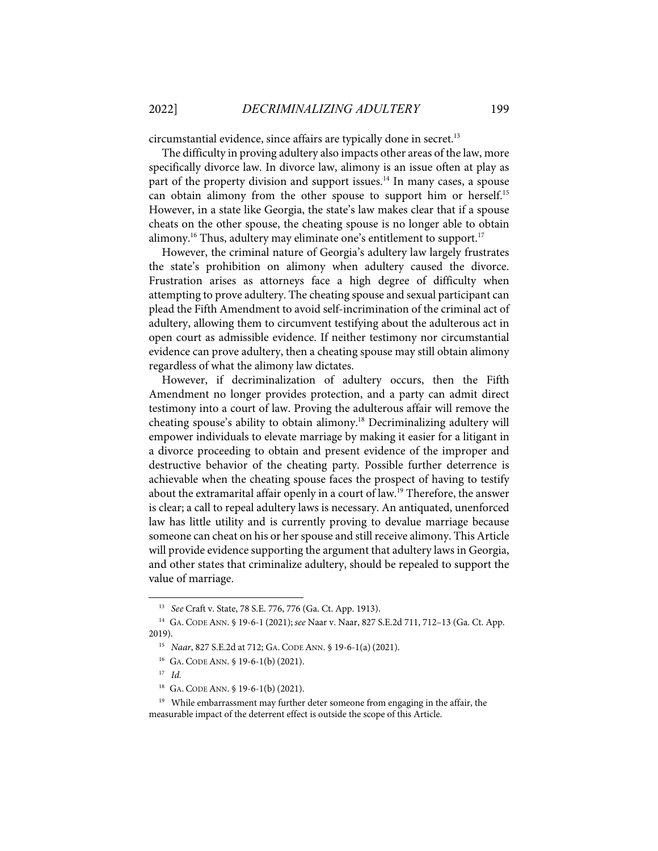circumstantial evidence, since affairs are typically done in secret. 13

The difficulty in proving adultery also impacts other areas of the law, more specifically divorce law. In divorce law, alimony is an issue often at play as part of the property division and support issues.<sup>14</sup> In many cases, a spouse can obtain alimony from the other spouse to support him or herself.<sup>15</sup> However, in a state like Georgia, the state's law makes clear that if a spouse cheats on the other spouse, the cheating spouse is no longer able to obtain alimony.<sup>16</sup> Thus, adultery may eliminate one's entitlement to support.<sup>17</sup>

However, the criminal nature of Georgia's adultery law largely frustrates the state's prohibition on alimony when adultery caused the divorce. Frustration arises as attorneys face a high degree of difficulty when attempting to prove adultery. The cheating spouse and sexual participant can plead the Fifth Amendment to avoid self-incrimination of the criminal act of adultery, allowing them to circumvent testifying about the adulterous act in open court as admissible evidence. If neither testimony nor circumstantial evidence can prove adultery, then a cheating spouse may still obtain alimony regardless of what the alimony law dictates.

However, if decriminalization of adultery occurs, then the Fifth Amendment no longer provides protection, and a party can admit direct testimony into a court of law. Proving the adulterous affair will remove the cheating spouse's ability to obtain alimony.18 Decriminalizing adultery will empower individuals to elevate marriage by making it easier for a litigant in a divorce proceeding to obtain and present evidence of the improper and destructive behavior of the cheating party. Possible further deterrence is achievable when the cheating spouse faces the prospect of having to testify about the extramarital affair openly in a court of law.<sup>19</sup> Therefore, the answer is clear; a call to repeal adultery laws is necessary. An antiquated, unenforced law has little utility and is currently proving to devalue marriage because someone can cheat on his or her spouse and still receive alimony. This Article will provide evidence supporting the argument that adultery laws in Georgia, and other states that criminalize adultery, should be repealed to support the value of marriage.

<sup>17</sup> *Id.*

<sup>13</sup> *See* Craft v. State, 78 S.E. 776, 776 (Ga. Ct. App. 1913).

<sup>14</sup> GA. CODE ANN. § 19-6-1 (2021); *see* Naar v. Naar, 827 S.E.2d 711, 712–13 (Ga. Ct. App. 2019).

<sup>15</sup> *Naar*, 827 S.E.2d at 712; GA. CODE ANN. § 19-6-1(a)(2021).

<sup>16</sup> GA. CODE ANN. § 19-6-1(b)(2021).

<sup>&</sup>lt;sup>18</sup> GA. CODE ANN. § 19-6-1(b) (2021).

<sup>&</sup>lt;sup>19</sup> While embarrassment may further deter someone from engaging in the affair, the measurable impact of the deterrent effect is outside the scope of this Article.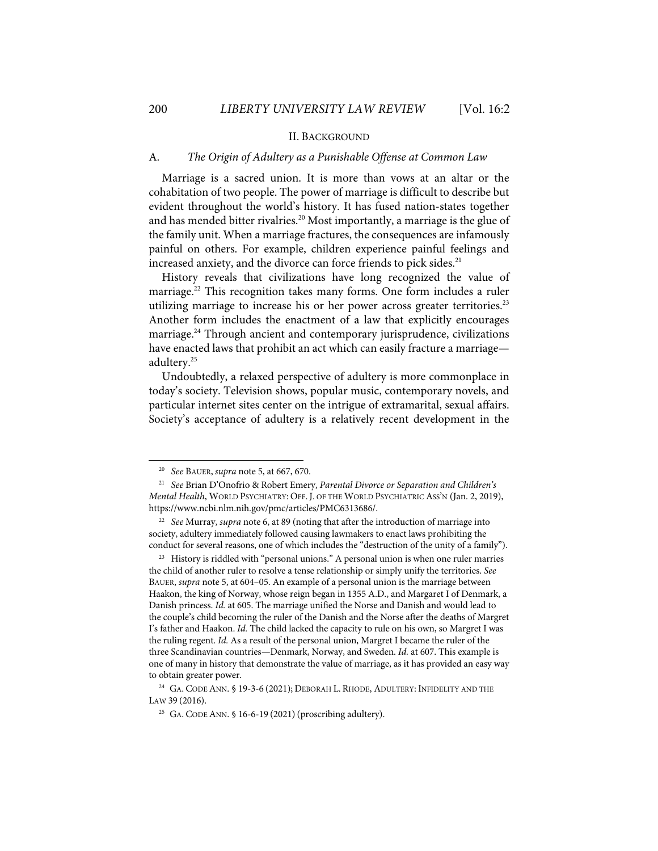#### II. BACKGROUND

#### A. *The Origin of Adultery as a Punishable Offense at Common Law*

Marriage is a sacred union. It is more than vows at an altar or the cohabitation of two people. The power of marriage is difficult to describe but evident throughout the world's history. It has fused nation-states together and has mended bitter rivalries.<sup>20</sup> Most importantly, a marriage is the glue of the family unit. When a marriage fractures, the consequences are infamously painful on others. For example, children experience painful feelings and increased anxiety, and the divorce can force friends to pick sides.<sup>21</sup>

History reveals that civilizations have long recognized the value of marriage.<sup>22</sup> This recognition takes many forms. One form includes a ruler utilizing marriage to increase his or her power across greater territories.<sup>23</sup> Another form includes the enactment of a law that explicitly encourages marriage.<sup>24</sup> Through ancient and contemporary jurisprudence, civilizations have enacted laws that prohibit an act which can easily fracture a marriage adultery.25

Undoubtedly, a relaxed perspective of adultery is more commonplace in today's society. Television shows, popular music, contemporary novels, and particular internet sites center on the intrigue of extramarital, sexual affairs. Society's acceptance of adultery is a relatively recent development in the

<sup>20</sup> *See* BAUER, *supra* note 5, at 667, 670.

<sup>21</sup> *See* Brian D'Onofrio & Robert Emery, *Parental Divorce or Separation and Children's Mental Health*, WORLD PSYCHIATRY: OFF. J. OF THE WORLD PSYCHIATRIC ASS'N (Jan. 2, 2019), https://www.ncbi.nlm.nih.gov/pmc/articles/PMC6313686/.

<sup>22</sup> *See* Murray, *supra* note 6, at 89 (noting that after the introduction of marriage into society, adultery immediately followed causing lawmakers to enact laws prohibiting the conduct for several reasons, one of which includes the "destruction of the unity of a family").

<sup>&</sup>lt;sup>23</sup> History is riddled with "personal unions." A personal union is when one ruler marries the child of another ruler to resolve a tense relationship or simply unify the territories. *See*  BAUER, *supra* note 5, at 604–05. An example of a personal union is the marriage between Haakon, the king of Norway, whose reign began in 1355 A.D., and Margaret I of Denmark, a Danish princess. *Id.* at 605. The marriage unified the Norse and Danish and would lead to the couple's child becoming the ruler of the Danish and the Norse after the deaths of Margret I's father and Haakon. *Id.* The child lacked the capacity to rule on his own, so Margret I was the ruling regent. *Id.* As a result of the personal union, Margret I became the ruler of the three Scandinavian countries—Denmark, Norway, and Sweden. *Id.* at 607. This example is one of many in history that demonstrate the value of marriage, as it has provided an easy way to obtain greater power.

<sup>24</sup> GA. CODE ANN. § 19-3-6 (2021); DEBORAH L. RHODE, ADULTERY: INFIDELITY AND THE LAW 39 (2016).

<sup>&</sup>lt;sup>25</sup> GA. CODE ANN. § 16-6-19 (2021) (proscribing adultery).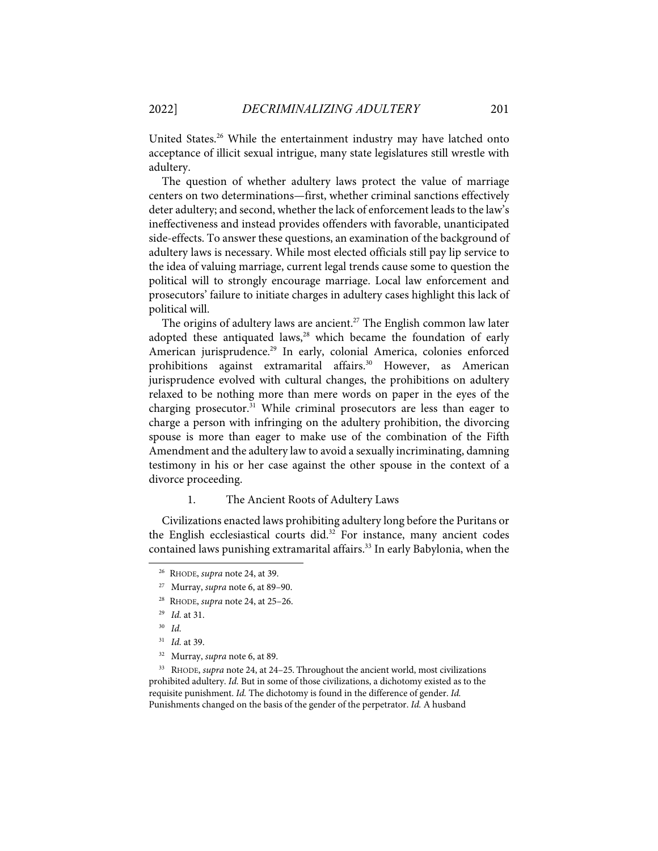United States.<sup>26</sup> While the entertainment industry may have latched onto acceptance of illicit sexual intrigue, many state legislatures still wrestle with adultery.

The question of whether adultery laws protect the value of marriage centers on two determinations—first, whether criminal sanctions effectively deter adultery; and second, whether the lack of enforcement leads to the law's ineffectiveness and instead provides offenders with favorable, unanticipated side-effects. To answer these questions, an examination of the background of adultery laws is necessary. While most elected officials still pay lip service to the idea of valuing marriage, current legal trends cause some to question the political will to strongly encourage marriage. Local law enforcement and prosecutors' failure to initiate charges in adultery cases highlight this lack of political will.

The origins of adultery laws are ancient.<sup>27</sup> The English common law later adopted these antiquated laws,<sup>28</sup> which became the foundation of early American jurisprudence.<sup>29</sup> In early, colonial America, colonies enforced prohibitions against extramarital affairs.<sup>30</sup> However, as American jurisprudence evolved with cultural changes, the prohibitions on adultery relaxed to be nothing more than mere words on paper in the eyes of the charging prosecutor.<sup>31</sup> While criminal prosecutors are less than eager to charge a person with infringing on the adultery prohibition, the divorcing spouse is more than eager to make use of the combination of the Fifth Amendment and the adultery law to avoid a sexually incriminating, damning testimony in his or her case against the other spouse in the context of a divorce proceeding.

1. The Ancient Roots of Adultery Laws

Civilizations enacted laws prohibiting adultery long before the Puritans or the English ecclesiastical courts did.<sup>32</sup> For instance, many ancient codes contained laws punishing extramarital affairs.<sup>33</sup> In early Babylonia, when the

<sup>26</sup> RHODE, *supra* note 24, at 39.

<sup>27</sup> Murray, *supra* note 6, at 89–90.

<sup>28</sup> RHODE, *supra* note 24, at 25–26.

<sup>29</sup> *Id.* at 31.

<sup>30</sup> *Id.*

<sup>31</sup> *Id.* at 39.

<sup>32</sup> Murray, *supra* note 6, at 89.

<sup>33</sup> RHODE, *supra* note 24, at 24–25. Throughout the ancient world, most civilizations prohibited adultery. *Id.* But in some of those civilizations, a dichotomy existed as to the requisite punishment. *Id.* The dichotomy is found in the difference of gender. *Id.* Punishments changed on the basis of the gender of the perpetrator. *Id.* A husband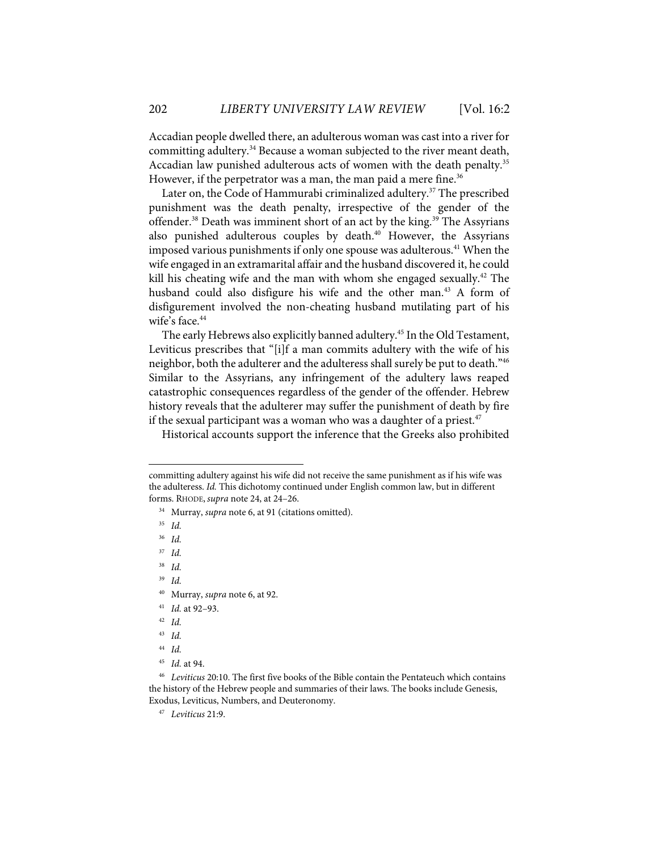Accadian people dwelled there, an adulterous woman was cast into a river for committing adultery. <sup>34</sup> Because a woman subjected to the river meant death, Accadian law punished adulterous acts of women with the death penalty.<sup>35</sup> However, if the perpetrator was a man, the man paid a mere fine.<sup>36</sup>

Later on, the Code of Hammurabi criminalized adultery.<sup>37</sup> The prescribed punishment was the death penalty, irrespective of the gender of the offender.<sup>38</sup> Death was imminent short of an act by the king.<sup>39</sup> The Assyrians also punished adulterous couples by death.<sup>40</sup> However, the Assyrians imposed various punishments if only one spouse was adulterous.<sup>41</sup> When the wife engaged in an extramarital affair and the husband discovered it, he could kill his cheating wife and the man with whom she engaged sexually.<sup>42</sup> The husband could also disfigure his wife and the other man.<sup>43</sup> A form of disfigurement involved the non-cheating husband mutilating part of his wife's face.<sup>44</sup>

The early Hebrews also explicitly banned adultery.<sup>45</sup> In the Old Testament, Leviticus prescribes that "[i]f a man commits adultery with the wife of his neighbor, both the adulterer and the adulteress shall surely be put to death."46 Similar to the Assyrians, any infringement of the adultery laws reaped catastrophic consequences regardless of the gender of the offender. Hebrew history reveals that the adulterer may suffer the punishment of death by fire if the sexual participant was a woman who was a daughter of a priest. $47$ 

Historical accounts support the inference that the Greeks also prohibited

<sup>35</sup> *Id.*

<sup>36</sup> *Id.*

<sup>37</sup> *Id.*

<sup>38</sup> *Id.*

<sup>39</sup> *Id.*

<sup>41</sup> *Id.* at 92–93.

<sup>42</sup> *Id.*

committing adultery against his wife did not receive the same punishment as if his wife was the adulteress. *Id.* This dichotomy continued under English common law, but in different forms. RHODE, *supra* note 24, at 24–26.

<sup>34</sup> Murray, *supra* note 6, at 91 (citations omitted).

<sup>40</sup> Murray, *supra* note 6, at 92.

<sup>43</sup> *Id.* 

<sup>44</sup> *Id.*

<sup>45</sup> *Id.* at 94.

<sup>46</sup> *Leviticus* 20:10. The first five books of the Bible contain the Pentateuch which contains the history of the Hebrew people and summaries of their laws. The books include Genesis, Exodus, Leviticus, Numbers, and Deuteronomy.

<sup>47</sup> *Leviticus* 21:9.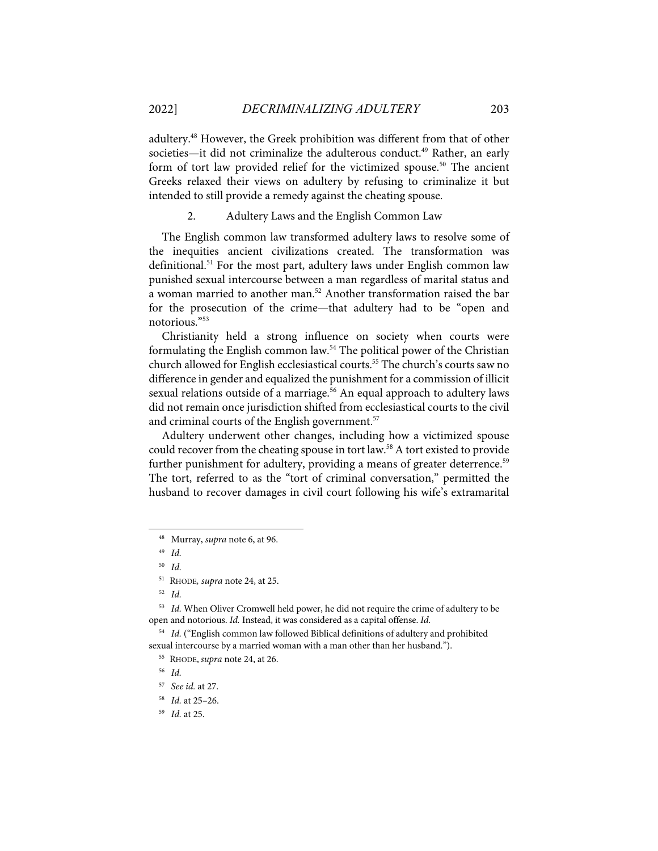adultery.<sup>48</sup> However, the Greek prohibition was different from that of other societies—it did not criminalize the adulterous conduct.<sup>49</sup> Rather, an early form of tort law provided relief for the victimized spouse.<sup>50</sup> The ancient Greeks relaxed their views on adultery by refusing to criminalize it but intended to still provide a remedy against the cheating spouse.

2. Adultery Laws and the English Common Law

The English common law transformed adultery laws to resolve some of the inequities ancient civilizations created. The transformation was definitional.<sup>51</sup> For the most part, adultery laws under English common law punished sexual intercourse between a man regardless of marital status and a woman married to another man. <sup>52</sup> Another transformation raised the bar for the prosecution of the crime—that adultery had to be "open and notorious."53

Christianity held a strong influence on society when courts were formulating the English common law. <sup>54</sup> The political power of the Christian church allowed for English ecclesiastical courts.<sup>55</sup> The church's courts saw no difference in gender and equalized the punishment for a commission of illicit sexual relations outside of a marriage.<sup>56</sup> An equal approach to adultery laws did not remain once jurisdiction shifted from ecclesiastical courts to the civil and criminal courts of the English government.<sup>57</sup>

Adultery underwent other changes, including how a victimized spouse could recover from the cheating spouse in tort law.58 A tort existed to provide further punishment for adultery, providing a means of greater deterrence. 59 The tort, referred to as the "tort of criminal conversation," permitted the husband to recover damages in civil court following his wife's extramarital

<sup>54</sup> Id. ("English common law followed Biblical definitions of adultery and prohibited sexual intercourse by a married woman with a man other than her husband.").

<sup>48</sup> Murray, *supra* note 6, at 96.

<sup>49</sup> *Id.*

<sup>50</sup> *Id.*

<sup>51</sup> RHODE*, supra* note 24, at 25.

<sup>52</sup> *Id.*

<sup>&</sup>lt;sup>53</sup> Id. When Oliver Cromwell held power, he did not require the crime of adultery to be open and notorious. *Id.* Instead, it was considered as a capital offense. *Id.*

<sup>55</sup> RHODE, *supra* note 24, at 26.

<sup>56</sup> *Id.*

<sup>57</sup> *See id.* at 27.

<sup>58</sup> *Id.* at 25–26.

<sup>59</sup> *Id.* at 25.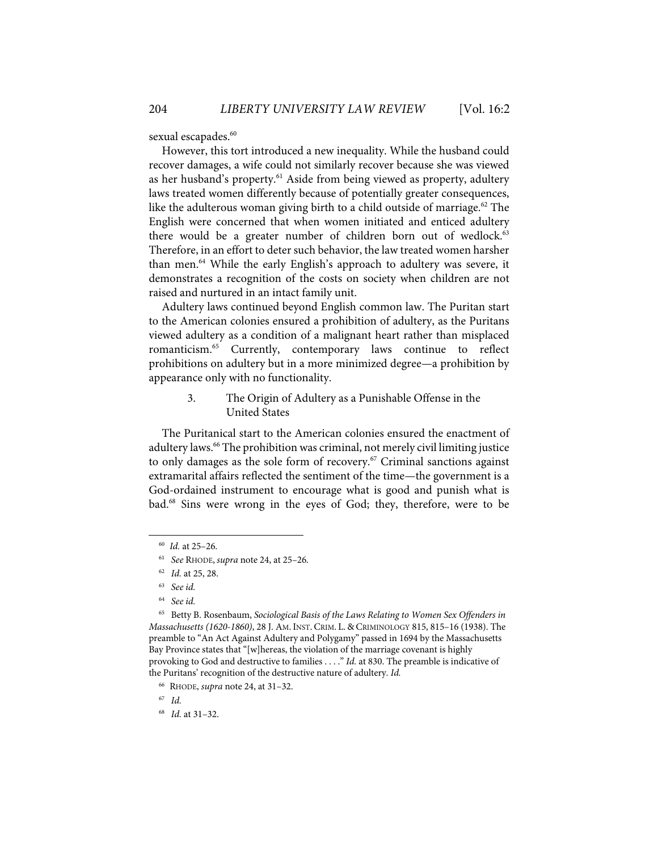sexual escapades.<sup>60</sup>

However, this tort introduced a new inequality. While the husband could recover damages, a wife could not similarly recover because she was viewed as her husband's property.<sup>61</sup> Aside from being viewed as property, adultery laws treated women differently because of potentially greater consequences, like the adulterous woman giving birth to a child outside of marriage.<sup>62</sup> The English were concerned that when women initiated and enticed adultery there would be a greater number of children born out of wedlock.<sup>63</sup> Therefore, in an effort to deter such behavior, the law treated women harsher than men. <sup>64</sup> While the early English's approach to adultery was severe, it demonstrates a recognition of the costs on society when children are not raised and nurtured in an intact family unit.

Adultery laws continued beyond English common law. The Puritan start to the American colonies ensured a prohibition of adultery, as the Puritans viewed adultery as a condition of a malignant heart rather than misplaced romanticism. <sup>65</sup> Currently, contemporary laws continue to reflect prohibitions on adultery but in a more minimized degree—a prohibition by appearance only with no functionality.

> 3. The Origin of Adultery as a Punishable Offense in the United States

The Puritanical start to the American colonies ensured the enactment of adultery laws.<sup>66</sup> The prohibition was criminal, not merely civil limiting justice to only damages as the sole form of recovery. <sup>67</sup> Criminal sanctions against extramarital affairs reflected the sentiment of the time—the government is a God-ordained instrument to encourage what is good and punish what is bad.68 Sins were wrong in the eyes of God; they, therefore, were to be

<sup>67</sup> *Id.*

<sup>60</sup> *Id.* at 25–26.

<sup>61</sup> *See* RHODE, *supra* note 24, at 25–26.

<sup>62</sup> *Id.* at 25, 28.

<sup>63</sup> *See id.*

<sup>64</sup> *See id.*

<sup>65</sup> Betty B. Rosenbaum, *Sociological Basis of the Laws Relating to Women Sex Offenders in Massachusetts (1620-1860)*, 28 J. AM. INST. CRIM. L. & CRIMINOLOGY 815, 815–16 (1938). The preamble to "An Act Against Adultery and Polygamy" passed in 1694 by the Massachusetts Bay Province states that "[w]hereas, the violation of the marriage covenant is highly provoking to God and destructive to families . . . ." *Id.* at 830. The preamble is indicative of the Puritans' recognition of the destructive nature of adultery. *Id.*

<sup>66</sup> RHODE, *supra* note 24, at 31–32.

<sup>68</sup> *Id.* at 31–32.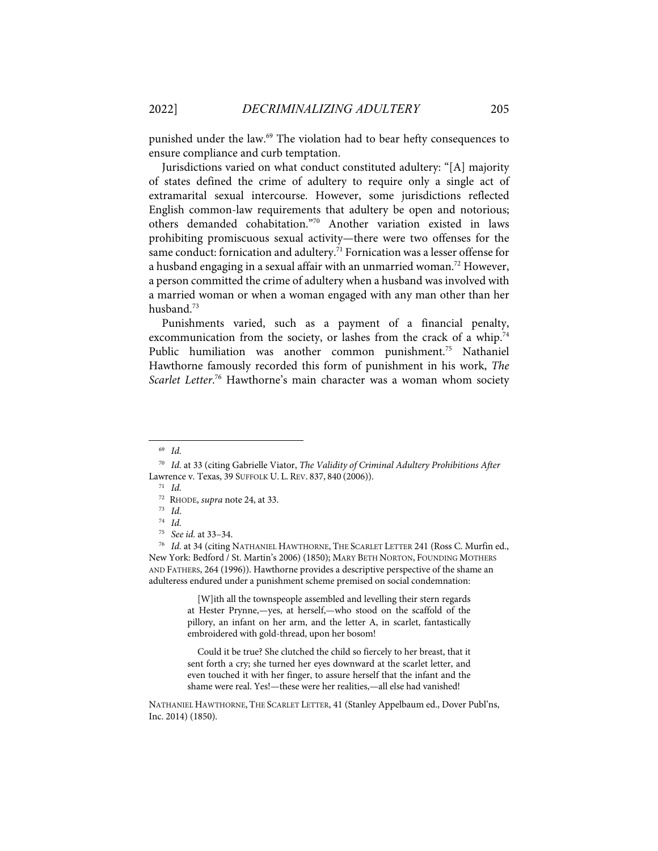punished under the law.69 The violation had to bear hefty consequences to ensure compliance and curb temptation.

Jurisdictions varied on what conduct constituted adultery: "[A] majority of states defined the crime of adultery to require only a single act of extramarital sexual intercourse. However, some jurisdictions reflected English common-law requirements that adultery be open and notorious; others demanded cohabitation."70 Another variation existed in laws prohibiting promiscuous sexual activity—there were two offenses for the same conduct: fornication and adultery.<sup>71</sup> Fornication was a lesser offense for a husband engaging in a sexual affair with an unmarried woman.<sup>72</sup> However, a person committed the crime of adultery when a husband was involved with a married woman or when a woman engaged with any man other than her husband.<sup>73</sup>

Punishments varied, such as a payment of a financial penalty, excommunication from the society, or lashes from the crack of a whip.<sup>74</sup> Public humiliation was another common punishment.<sup>75</sup> Nathaniel Hawthorne famously recorded this form of punishment in his work, *The Scarlet Letter*. <sup>76</sup> Hawthorne's main character was a woman whom society

<sup>76</sup> *Id.* at 34 (citing NATHANIEL HAWTHORNE, THE SCARLET LETTER 241 (Ross C. Murfin ed., New York: Bedford / St. Martin's 2006) (1850); MARY BETH NORTON, FOUNDING MOTHERS AND FATHERS, 264 (1996)). Hawthorne provides a descriptive perspective of the shame an adulteress endured under a punishment scheme premised on social condemnation:

> [W]ith all the townspeople assembled and levelling their stern regards at Hester Prynne,—yes, at herself,—who stood on the scaffold of the pillory, an infant on her arm, and the letter A, in scarlet, fantastically embroidered with gold-thread, upon her bosom!

> Could it be true? She clutched the child so fiercely to her breast, that it sent forth a cry; she turned her eyes downward at the scarlet letter, and even touched it with her finger, to assure herself that the infant and the shame were real. Yes!—these were her realities,—all else had vanished!

NATHANIEL HAWTHORNE, THE SCARLET LETTER, 41 (Stanley Appelbaum ed., Dover Publ'ns, Inc. 2014) (1850).

<sup>69</sup> *Id.*

<sup>70</sup> *Id.* at 33 (citing Gabrielle Viator, *The Validity of Criminal Adultery Prohibitions After*  Lawrence v. Texas, 39 SUFFOLK U. L. REV. 837, 840 (2006)).

<sup>71</sup> *Id.*

<sup>72</sup> RHODE, *supra* note 24, at 33.

<sup>73</sup> *Id*.

<sup>74</sup> *Id.*

<sup>75</sup> *See id.* at 33–34.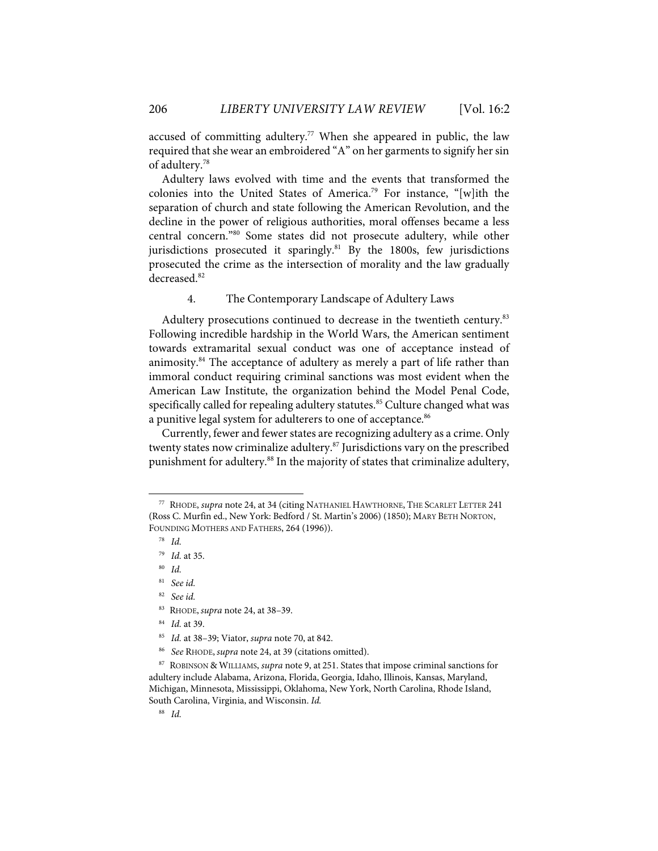accused of committing adultery.<sup>77</sup> When she appeared in public, the law required that she wear an embroidered "A" on her garments to signify her sin of adultery. 78

Adultery laws evolved with time and the events that transformed the colonies into the United States of America.79 For instance, "[w]ith the separation of church and state following the American Revolution, and the decline in the power of religious authorities, moral offenses became a less central concern."80 Some states did not prosecute adultery, while other jurisdictions prosecuted it sparingly. <sup>81</sup> By the 1800s, few jurisdictions prosecuted the crime as the intersection of morality and the law gradually decreased.<sup>82</sup>

#### 4. The Contemporary Landscape of Adultery Laws

Adultery prosecutions continued to decrease in the twentieth century.<sup>83</sup> Following incredible hardship in the World Wars, the American sentiment towards extramarital sexual conduct was one of acceptance instead of animosity.<sup>84</sup> The acceptance of adultery as merely a part of life rather than immoral conduct requiring criminal sanctions was most evident when the American Law Institute, the organization behind the Model Penal Code, specifically called for repealing adultery statutes.<sup>85</sup> Culture changed what was a punitive legal system for adulterers to one of acceptance.<sup>86</sup>

Currently, fewer and fewer states are recognizing adultery as a crime. Only twenty states now criminalize adultery.<sup>87</sup> Jurisdictions vary on the prescribed punishment for adultery.<sup>88</sup> In the majority of states that criminalize adultery,

- <sup>82</sup> *See id.*
- 83 RHODE, *supra* note 24, at 38–39.

<sup>77</sup> RHODE, *supra* note 24, at 34 (citing NATHANIEL HAWTHORNE, THE SCARLET LETTER 241 (Ross C. Murfin ed., New York: Bedford / St. Martin's 2006) (1850); MARY BETH NORTON, FOUNDING MOTHERS AND FATHERS, 264 (1996)).

<sup>78</sup> *Id.*

<sup>79</sup> *Id.* at 35.

<sup>80</sup> *Id.*

<sup>81</sup> *See id.*

<sup>84</sup> *Id.* at 39.

<sup>85</sup> *Id.* at 38–39; Viator, *supra* note 70, at 842.

<sup>86</sup> *See* RHODE, *supra* note 24, at 39 (citations omitted).

<sup>87</sup> ROBINSON & WILLIAMS, *supra* note 9, at 251. States that impose criminal sanctions for adultery include Alabama, Arizona, Florida, Georgia, Idaho, Illinois, Kansas, Maryland, Michigan, Minnesota, Mississippi, Oklahoma, New York, North Carolina, Rhode Island, South Carolina, Virginia, and Wisconsin. *Id.*

<sup>88</sup> *Id.*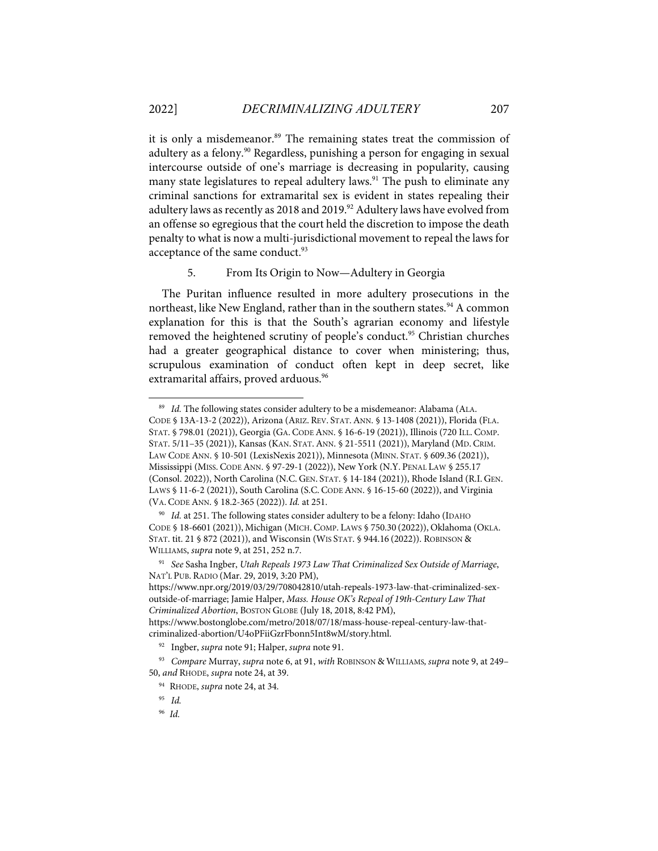it is only a misdemeanor.<sup>89</sup> The remaining states treat the commission of adultery as a felony.<sup>90</sup> Regardless, punishing a person for engaging in sexual intercourse outside of one's marriage is decreasing in popularity, causing many state legislatures to repeal adultery laws.<sup>91</sup> The push to eliminate any criminal sanctions for extramarital sex is evident in states repealing their adultery laws as recently as 2018 and 2019.<sup>92</sup> Adultery laws have evolved from an offense so egregious that the court held the discretion to impose the death penalty to what is now a multi-jurisdictional movement to repeal the laws for acceptance of the same conduct.<sup>93</sup>

# 5. From Its Origin to Now—Adultery in Georgia

The Puritan influence resulted in more adultery prosecutions in the northeast, like New England, rather than in the southern states.<sup>94</sup> A common explanation for this is that the South's agrarian economy and lifestyle removed the heightened scrutiny of people's conduct.<sup>95</sup> Christian churches had a greater geographical distance to cover when ministering; thus, scrupulous examination of conduct often kept in deep secret, like extramarital affairs, proved arduous.<sup>96</sup>

<sup>&</sup>lt;sup>89</sup> Id. The following states consider adultery to be a misdemeanor: Alabama (ALA. CODE § 13A-13-2 (2022)), Arizona (ARIZ. REV. STAT.ANN. § 13-1408 (2021)), Florida (FLA. STAT. § 798.01 (2021)), Georgia (GA. CODE ANN. § 16-6-19 (2021)), Illinois (720 ILL. COMP. STAT. 5/11–35 (2021)), Kansas (KAN. STAT.ANN. § 21-5511 (2021)), Maryland (MD. CRIM. LAW CODE ANN. § 10-501 (LexisNexis 2021)), Minnesota (MINN. STAT. § 609.36 (2021)), Mississippi (MISS. CODE ANN. § 97-29-1 (2022)), New York (N.Y. PENAL LAW § 255.17 (Consol. 2022)), North Carolina (N.C. GEN. STAT. § 14-184 (2021)), Rhode Island (R.I. GEN. LAWS § 11-6-2 (2021)), South Carolina (S.C. CODE ANN. § 16-15-60 (2022)), and Virginia (VA. CODE ANN. § 18.2-365 (2022)). *Id.* at 251.

<sup>&</sup>lt;sup>90</sup> Id. at 251. The following states consider adultery to be a felony: Idaho (IDAHO CODE § 18-6601 (2021)), Michigan (MICH. COMP. LAWS § 750.30 (2022)), Oklahoma (OKLA. STAT. tit. 21 § 872 (2021)), and Wisconsin (WIS STAT. § 944.16 (2022)). ROBINSON & WILLIAMS, *supra* note 9, at 251, 252 n.7.

<sup>91</sup> *See* Sasha Ingber, *Utah Repeals 1973 Law That Criminalized Sex Outside of Marriage*, NAT'L PUB. RADIO (Mar. 29, 2019, 3:20 PM),

https://www.npr.org/2019/03/29/708042810/utah-repeals-1973-law-that-criminalized-sexoutside-of-marriage; Jamie Halper, *Mass. House OK's Repeal of 19th-Century Law That Criminalized Abortion*, BOSTON GLOBE (July 18, 2018, 8:42 PM),

https://www.bostonglobe.com/metro/2018/07/18/mass-house-repeal-century-law-thatcriminalized-abortion/U4oPFiiGzrFbonn5Int8wM/story.html.

<sup>92</sup> Ingber, *supra* note 91; Halper, *supra* note 91.

<sup>93</sup> *Compare* Murray, *supra* note 6, at 91, *with* ROBINSON & WILLIAMS*, supra* note 9, at 249– 50, *and* RHODE, *supra* note 24, at 39.

<sup>94</sup> RHODE, *supra* note 24, at 34.

<sup>95</sup> *Id.*

<sup>96</sup> *Id.*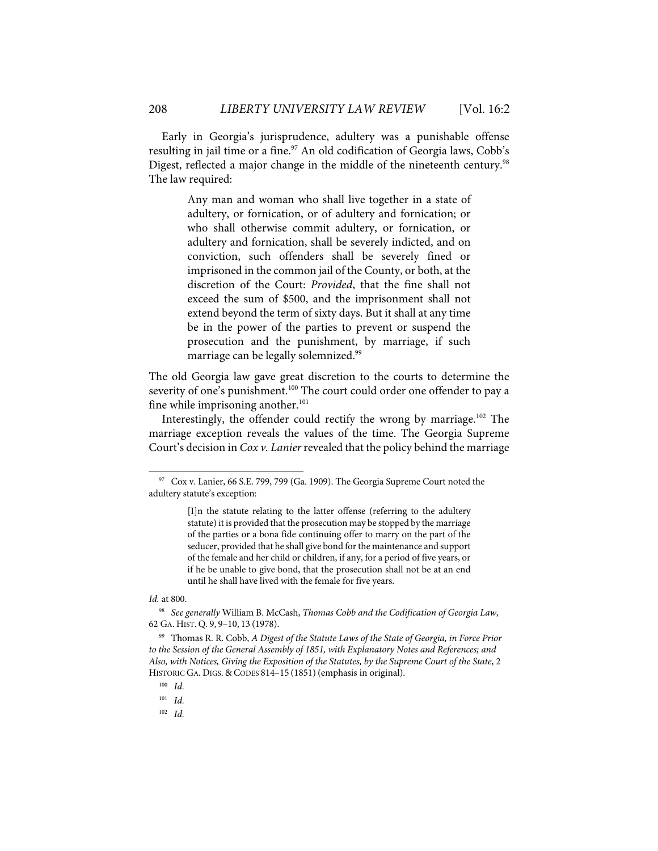Early in Georgia's jurisprudence, adultery was a punishable offense resulting in jail time or a fine.<sup>97</sup> An old codification of Georgia laws, Cobb's Digest, reflected a major change in the middle of the nineteenth century.<sup>98</sup> The law required:

> Any man and woman who shall live together in a state of adultery, or fornication, or of adultery and fornication; or who shall otherwise commit adultery, or fornication, or adultery and fornication, shall be severely indicted, and on conviction, such offenders shall be severely fined or imprisoned in the common jail of the County, or both, at the discretion of the Court: *Provided*, that the fine shall not exceed the sum of \$500, and the imprisonment shall not extend beyond the term of sixty days. But it shall at any time be in the power of the parties to prevent or suspend the prosecution and the punishment, by marriage, if such marriage can be legally solemnized.<sup>99</sup>

The old Georgia law gave great discretion to the courts to determine the severity of one's punishment.<sup>100</sup> The court could order one offender to pay a fine while imprisoning another. $101$ 

Interestingly, the offender could rectify the wrong by marriage. <sup>102</sup> The marriage exception reveals the values of the time. The Georgia Supreme Court's decision in *Cox v. Lanier* revealed that the policy behind the marriage

<sup>97</sup> Cox v. Lanier, 66 S.E. 799, 799 (Ga. 1909). The Georgia Supreme Court noted the adultery statute's exception:

<sup>[</sup>I]n the statute relating to the latter offense (referring to the adultery statute) it is provided that the prosecution may be stopped by the marriage of the parties or a bona fide continuing offer to marry on the part of the seducer, provided that he shall give bond for the maintenance and support of the female and her child or children, if any, for a period of five years, or if he be unable to give bond, that the prosecution shall not be at an end until he shall have lived with the female for five years.

*Id.* at 800.

<sup>98</sup> *See generally* William B. McCash, *Thomas Cobb and the Codification of Georgia Law*, 62 GA. HIST. Q. 9, 9–10, 13 (1978).

<sup>99</sup> Thomas R. R. Cobb, *A Digest of the Statute Laws of the State of Georgia, in Force Prior to the Session of the General Assembly of 1851, with Explanatory Notes and References; and Also, with Notices, Giving the Exposition of the Statutes, by the Supreme Court of the State*, 2 HISTORIC GA. DIGS. & CODES 814-15 (1851) (emphasis in original).

<sup>100</sup> *Id.*

<sup>101</sup> *Id.*

<sup>102</sup> *Id.*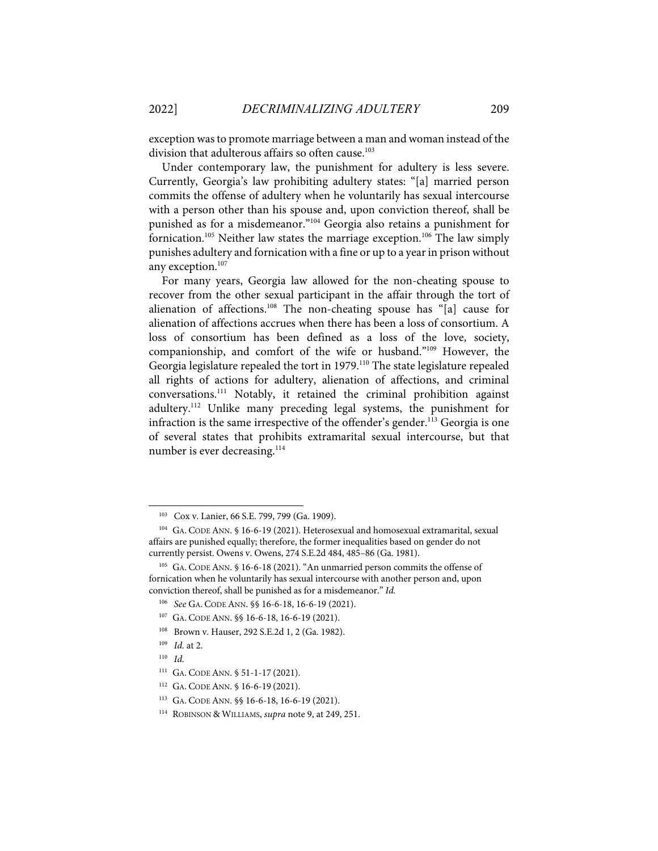exception wasto promote marriage between a man and woman instead of the division that adulterous affairs so often cause.<sup>103</sup>

Under contemporary law, the punishment for adultery is less severe. Currently, Georgia's law prohibiting adultery states: "[a] married person commits the offense of adultery when he voluntarily has sexual intercourse with a person other than his spouse and, upon conviction thereof, shall be punished as for a misdemeanor."104 Georgia also retains a punishment for fornication.<sup>105</sup> Neither law states the marriage exception.<sup>106</sup> The law simply punishes adultery and fornication with a fine or up to a year in prison without any exception.<sup>107</sup>

For many years, Georgia law allowed for the non-cheating spouse to recover from the other sexual participant in the affair through the tort of alienation of affections. <sup>108</sup> The non-cheating spouse has "[a] cause for alienation of affections accrues when there has been a loss of consortium. A loss of consortium has been defined as a loss of the love, society, companionship, and comfort of the wife or husband."109 However, the Georgia legislature repealed the tort in 1979.<sup>110</sup> The state legislature repealed all rights of actions for adultery, alienation of affections, and criminal conversations.111 Notably, it retained the criminal prohibition against adultery.112 Unlike many preceding legal systems, the punishment for infraction is the same irrespective of the offender's gender.<sup>113</sup> Georgia is one of several states that prohibits extramarital sexual intercourse, but that number is ever decreasing.<sup>114</sup>

<sup>103</sup> Cox v. Lanier, 66 S.E. 799, 799 (Ga. 1909).

<sup>104</sup> GA. CODE ANN. § 16-6-19 (2021). Heterosexual and homosexual extramarital, sexual affairs are punished equally; therefore, the former inequalities based on gender do not currently persist. Owens v. Owens, 274 S.E.2d 484, 485–86 (Ga. 1981).

<sup>105</sup> GA. CODE ANN. § 16-6-18 (2021). "An unmarried person commits the offense of fornication when he voluntarily has sexual intercourse with another person and, upon conviction thereof, shall be punished as for a misdemeanor." *Id.*

<sup>106</sup> *See* GA. CODE ANN. §§ 16-6-18, 16-6-19 (2021).

<sup>107</sup> GA. CODE ANN. §§ 16-6-18, 16-6-19 (2021).

<sup>&</sup>lt;sup>108</sup> Brown v. Hauser, 292 S.E.2d 1, 2 (Ga. 1982).

<sup>109</sup> *Id.* at 2.

<sup>110</sup> *Id.*

<sup>111</sup> GA. CODE ANN. § 51-1-17 (2021).

<sup>112</sup> GA. CODE ANN. § 16-6-19 (2021).

<sup>113</sup> GA. CODE ANN. §§ 16-6-18, 16-6-19 (2021).

<sup>114</sup> ROBINSON & WILLIAMS, *supra* note 9, at 249, 251.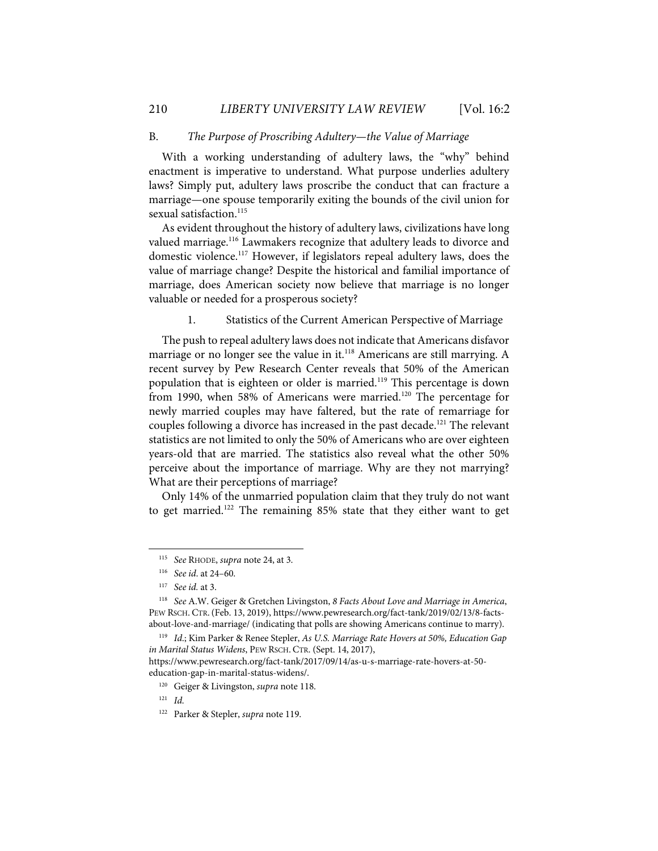#### B. *The Purpose of Proscribing Adultery—the Value of Marriage*

With a working understanding of adultery laws, the "why" behind enactment is imperative to understand. What purpose underlies adultery laws? Simply put, adultery laws proscribe the conduct that can fracture a marriage—one spouse temporarily exiting the bounds of the civil union for sexual satisfaction.<sup>115</sup>

As evident throughout the history of adultery laws, civilizations have long valued marriage.<sup>116</sup> Lawmakers recognize that adultery leads to divorce and domestic violence.117 However, if legislators repeal adultery laws, does the value of marriage change? Despite the historical and familial importance of marriage, does American society now believe that marriage is no longer valuable or needed for a prosperous society?

#### 1. Statistics of the Current American Perspective of Marriage

The push to repeal adultery laws does not indicate that Americans disfavor marriage or no longer see the value in it.<sup>118</sup> Americans are still marrying. A recent survey by Pew Research Center reveals that 50% of the American population that is eighteen or older is married.<sup>119</sup> This percentage is down from 1990, when 58% of Americans were married.<sup>120</sup> The percentage for newly married couples may have faltered, but the rate of remarriage for couples following a divorce has increased in the past decade.<sup>121</sup> The relevant statistics are not limited to only the 50% of Americans who are over eighteen years-old that are married. The statistics also reveal what the other 50% perceive about the importance of marriage. Why are they not marrying? What are their perceptions of marriage?

Only 14% of the unmarried population claim that they truly do not want to get married.<sup>122</sup> The remaining 85% state that they either want to get

<sup>115</sup> *See* RHODE, *supra* note 24, at 3.

<sup>116</sup> *See id*. at 24–60.

<sup>117</sup> *See id.* at 3.

<sup>118</sup> *See* A.W. Geiger & Gretchen Livingston, *8 Facts About Love and Marriage in America*, PEW RSCH. CTR.(Feb. 13, 2019), https://www.pewresearch.org/fact-tank/2019/02/13/8-factsabout-love-and-marriage/ (indicating that polls are showing Americans continue to marry).

<sup>119</sup> *Id*.; Kim Parker & Renee Stepler, *As U.S. Marriage Rate Hovers at 50%, Education Gap in Marital Status Widens*, PEW RSCH. CTR. (Sept. 14, 2017),

https://www.pewresearch.org/fact-tank/2017/09/14/as-u-s-marriage-rate-hovers-at-50 education-gap-in-marital-status-widens/.

<sup>120</sup> Geiger & Livingston, *supra* note 118.

<sup>121</sup> *Id.*

<sup>122</sup> Parker & Stepler, *supra* note 119.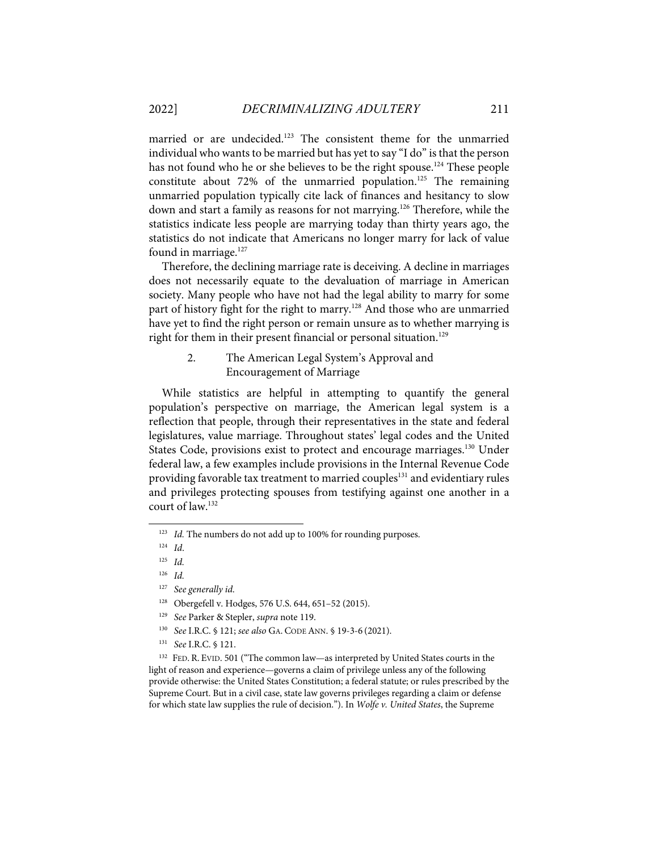married or are undecided.<sup>123</sup> The consistent theme for the unmarried individual who wants to be married but has yet to say "I do" is that the person has not found who he or she believes to be the right spouse.<sup>124</sup> These people constitute about 72% of the unmarried population.<sup>125</sup> The remaining unmarried population typically cite lack of finances and hesitancy to slow down and start a family as reasons for not marrying.<sup>126</sup> Therefore, while the statistics indicate less people are marrying today than thirty years ago, the statistics do not indicate that Americans no longer marry for lack of value found in marriage.<sup>127</sup>

Therefore, the declining marriage rate is deceiving. A decline in marriages does not necessarily equate to the devaluation of marriage in American society. Many people who have not had the legal ability to marry for some part of history fight for the right to marry.<sup>128</sup> And those who are unmarried have yet to find the right person or remain unsure as to whether marrying is right for them in their present financial or personal situation.<sup>129</sup>

> 2. The American Legal System's Approval and Encouragement of Marriage

While statistics are helpful in attempting to quantify the general population's perspective on marriage, the American legal system is a reflection that people, through their representatives in the state and federal legislatures, value marriage. Throughout states' legal codes and the United States Code, provisions exist to protect and encourage marriages.<sup>130</sup> Under federal law, a few examples include provisions in the Internal Revenue Code providing favorable tax treatment to married couples<sup>131</sup> and evidentiary rules and privileges protecting spouses from testifying against one another in a court of law.132

<sup>&</sup>lt;sup>123</sup> Id. The numbers do not add up to 100% for rounding purposes.

<sup>124</sup> *Id*.

<sup>125</sup> *Id.*

<sup>126</sup> *Id.*

<sup>127</sup> *See generally id*.

<sup>128</sup> Obergefell v. Hodges, 576 U.S. 644, 651–52 (2015).

<sup>129</sup> *See* Parker & Stepler, *supra* note 119.

<sup>130</sup> *See* I.R.C. § 121; *see also* GA. CODE ANN. § 19-3-6 (2021).

<sup>131</sup> *See* I.R.C. § 121.

<sup>132</sup> FED. R. EVID. 501 ("The common law—as interpreted by United States courts in the light of reason and experience—governs a claim of privilege unless any of the following provide otherwise: the United States Constitution; a federal statute; or rules prescribed by the Supreme Court. But in a civil case, state law governs privileges regarding a claim or defense for which state law supplies the rule of decision."). In *Wolfe v. United States*, the Supreme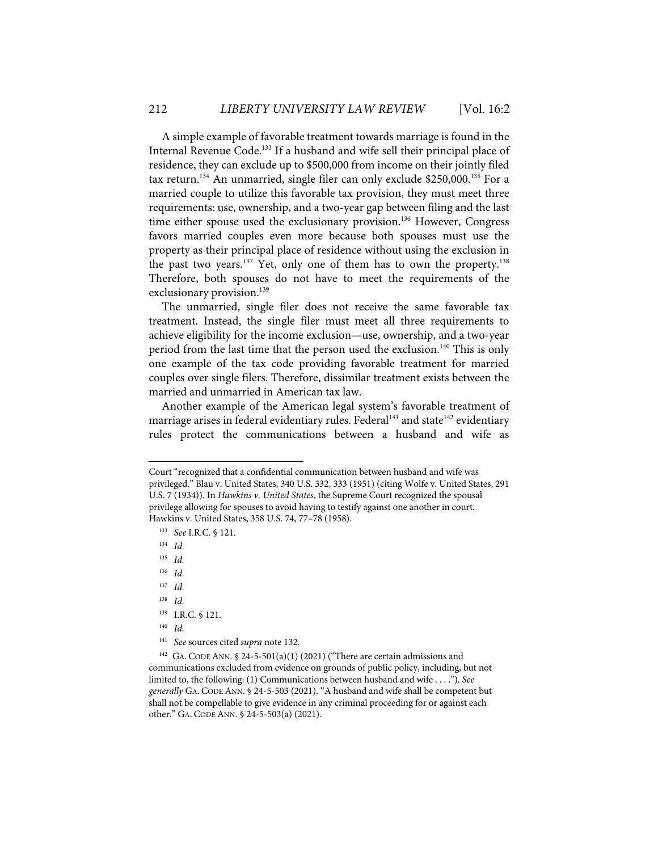A simple example of favorable treatment towards marriage is found in the Internal Revenue Code.<sup>133</sup> If a husband and wife sell their principal place of residence, they can exclude up to \$500,000 from income on their jointly filed tax return.<sup>134</sup> An unmarried, single filer can only exclude \$250,000.<sup>135</sup> For a married couple to utilize this favorable tax provision, they must meet three requirements: use, ownership, and a two-year gap between filing and the last time either spouse used the exclusionary provision.<sup>136</sup> However, Congress favors married couples even more because both spouses must use the property as their principal place of residence without using the exclusion in the past two years.<sup>137</sup> Yet, only one of them has to own the property.<sup>138</sup> Therefore, both spouses do not have to meet the requirements of the exclusionary provision.<sup>139</sup>

The unmarried, single filer does not receive the same favorable tax treatment. Instead, the single filer must meet all three requirements to achieve eligibility for the income exclusion—use, ownership, and a two-year period from the last time that the person used the exclusion.<sup>140</sup> This is only one example of the tax code providing favorable treatment for married couples over single filers. Therefore, dissimilar treatment exists between the married and unmarried in American tax law.

Another example of the American legal system's favorable treatment of marriage arises in federal evidentiary rules. Federal<sup>141</sup> and state<sup>142</sup> evidentiary rules protect the communications between a husband and wife as

- <sup>137</sup> *Id.*
- <sup>138</sup> *Id.*
- 139 I.R.C. § 121.
- <sup>140</sup> *Id.*
- <sup>141</sup> *See* sources cited *supra* note 132.

Court "recognized that a confidential communication between husband and wife was privileged." Blau v. United States, 340 U.S. 332, 333 (1951) (citing Wolfe v. United States, 291 U.S. 7 (1934)). In *Hawkins v. United States*, the Supreme Court recognized the spousal privilege allowing for spouses to avoid having to testify against one another in court. Hawkins v. United States, 358 U.S. 74, 77–78 (1958).

<sup>133</sup> *See* I.R.C. § 121.

<sup>134</sup> *Id.*

<sup>135</sup> *Id.*

<sup>136</sup> *Id.*

<sup>&</sup>lt;sup>142</sup> GA. CODE ANN. § 24-5-501(a)(1) (2021) ("There are certain admissions and communications excluded from evidence on grounds of public policy, including, but not limited to, the following: (1) Communications between husband and wife . . . ."). *See generally* GA. CODE ANN. § 24-5-503 (2021). "A husband and wife shall be competent but shall not be compellable to give evidence in any criminal proceeding for or against each other." GA. CODE ANN. § 24-5-503(a) (2021).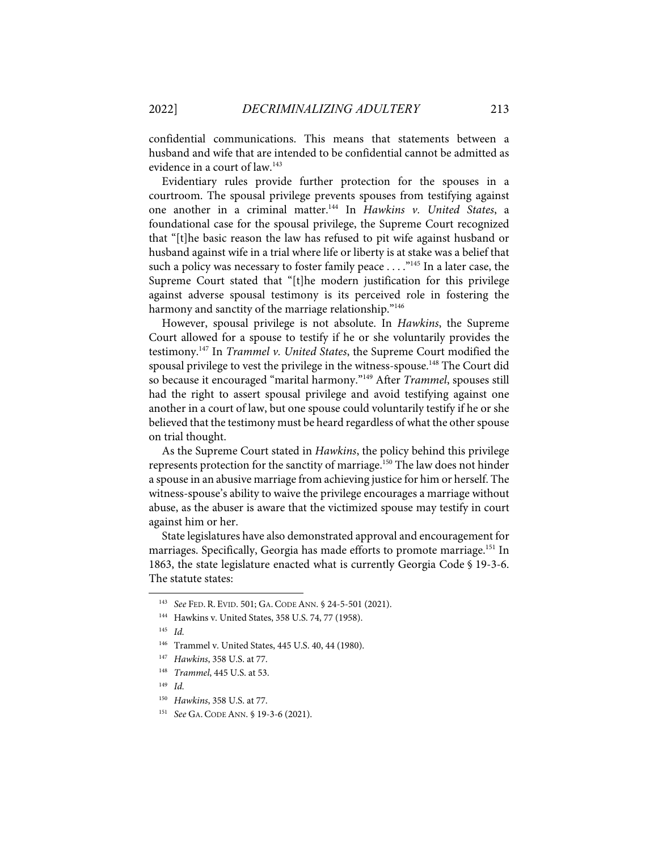confidential communications. This means that statements between a husband and wife that are intended to be confidential cannot be admitted as evidence in a court of law.<sup>143</sup>

Evidentiary rules provide further protection for the spouses in a courtroom. The spousal privilege prevents spouses from testifying against one another in a criminal matter.144 In *Hawkins v. United States*, a foundational case for the spousal privilege, the Supreme Court recognized that "[t]he basic reason the law has refused to pit wife against husband or husband against wife in a trial where life or liberty is at stake was a belief that such a policy was necessary to foster family peace  $\dots$ ."<sup>145</sup> In a later case, the Supreme Court stated that "[t]he modern justification for this privilege against adverse spousal testimony is its perceived role in fostering the harmony and sanctity of the marriage relationship."<sup>146</sup>

However, spousal privilege is not absolute. In *Hawkins*, the Supreme Court allowed for a spouse to testify if he or she voluntarily provides the testimony.147 In *Trammel v. United States*, the Supreme Court modified the spousal privilege to vest the privilege in the witness-spouse.<sup>148</sup> The Court did so because it encouraged "marital harmony."149 After *Trammel*, spouses still had the right to assert spousal privilege and avoid testifying against one another in a court of law, but one spouse could voluntarily testify if he or she believed that the testimony must be heard regardless of what the other spouse on trial thought.

As the Supreme Court stated in *Hawkins*, the policy behind this privilege represents protection for the sanctity of marriage.150 The law does not hinder a spouse in an abusive marriage from achieving justice for him or herself. The witness-spouse's ability to waive the privilege encourages a marriage without abuse, as the abuser is aware that the victimized spouse may testify in court against him or her.

State legislatures have also demonstrated approval and encouragement for marriages. Specifically, Georgia has made efforts to promote marriage.<sup>151</sup> In 1863, the state legislature enacted what is currently Georgia Code § 19-3-6. The statute states:

<sup>143</sup> *See* FED. R. EVID. 501; GA. CODE ANN. § 24-5-501 (2021).

<sup>144</sup> Hawkins v. United States, 358 U.S. 74, 77 (1958).

<sup>145</sup> *Id.*

<sup>146</sup> Trammel v. United States, 445 U.S. 40, 44 (1980).

<sup>147</sup> *Hawkins*, 358 U.S. at 77.

<sup>148</sup> *Trammel*, 445 U.S. at 53.

<sup>149</sup> *Id.*

<sup>150</sup> *Hawkins*, 358 U.S. at 77.

<sup>151</sup> *See* GA. CODE ANN. § 19-3-6 (2021).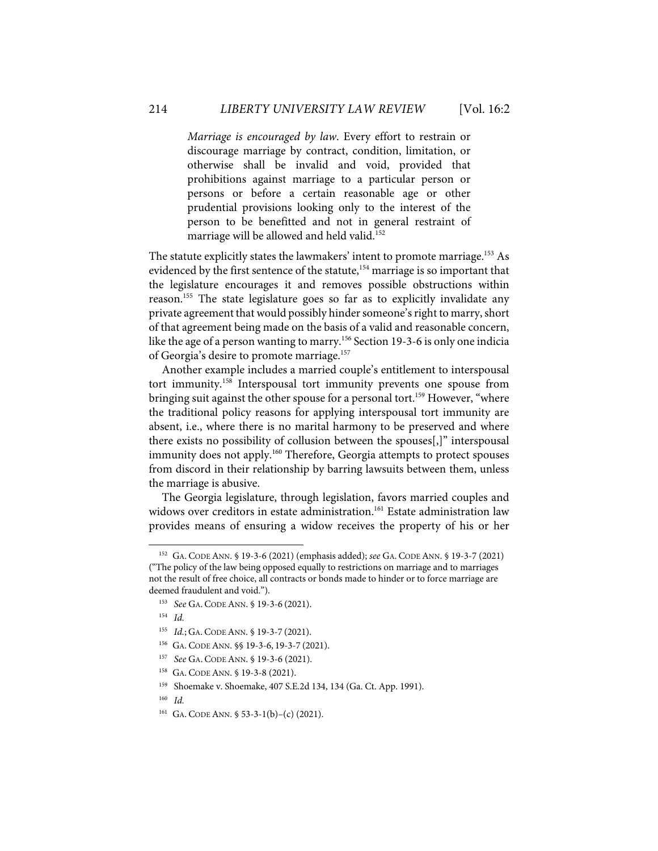*Marriage is encouraged by law*. Every effort to restrain or discourage marriage by contract, condition, limitation, or otherwise shall be invalid and void, provided that prohibitions against marriage to a particular person or persons or before a certain reasonable age or other prudential provisions looking only to the interest of the person to be benefitted and not in general restraint of marriage will be allowed and held valid.<sup>152</sup>

The statute explicitly states the lawmakers' intent to promote marriage. <sup>153</sup> As evidenced by the first sentence of the statute,<sup>154</sup> marriage is so important that the legislature encourages it and removes possible obstructions within reason.155 The state legislature goes so far as to explicitly invalidate any private agreement that would possibly hinder someone's right to marry, short of that agreement being made on the basis of a valid and reasonable concern, like the age of a person wanting to marry.<sup>156</sup> Section 19-3-6 is only one indicia of Georgia's desire to promote marriage.<sup>157</sup>

Another example includes a married couple's entitlement to interspousal tort immunity.158 Interspousal tort immunity prevents one spouse from bringing suit against the other spouse for a personal tort.<sup>159</sup> However, "where the traditional policy reasons for applying interspousal tort immunity are absent, i.e., where there is no marital harmony to be preserved and where there exists no possibility of collusion between the spouses[,]" interspousal immunity does not apply. <sup>160</sup> Therefore, Georgia attempts to protect spouses from discord in their relationship by barring lawsuits between them, unless the marriage is abusive.

The Georgia legislature, through legislation, favors married couples and widows over creditors in estate administration.<sup>161</sup> Estate administration law provides means of ensuring a widow receives the property of his or her

- 156 GA. CODE ANN. §§ 19-3-6, 19-3-7 (2021).
- <sup>157</sup> *See* GA. CODE ANN. § 19-3-6 (2021).
- 158 GA. CODE ANN. § 19-3-8 (2021).
- 159 Shoemake v. Shoemake, 407 S.E.2d 134, 134 (Ga. Ct. App. 1991).

161 GA. CODE ANN. § 53-3-1(b)–(c) (2021).

<sup>152</sup> GA. CODE ANN. § 19-3-6 (2021) (emphasis added); *see* GA. CODE ANN. § 19-3-7 (2021) ("The policy of the law being opposed equally to restrictions on marriage and to marriages not the result of free choice, all contracts or bonds made to hinder or to force marriage are deemed fraudulent and void.").

<sup>153</sup> *See* GA. CODE ANN. § 19-3-6 (2021).

<sup>154</sup> *Id.*

<sup>155</sup> *Id.*; GA. CODE ANN. § 19-3-7 (2021).

<sup>160</sup> *Id.*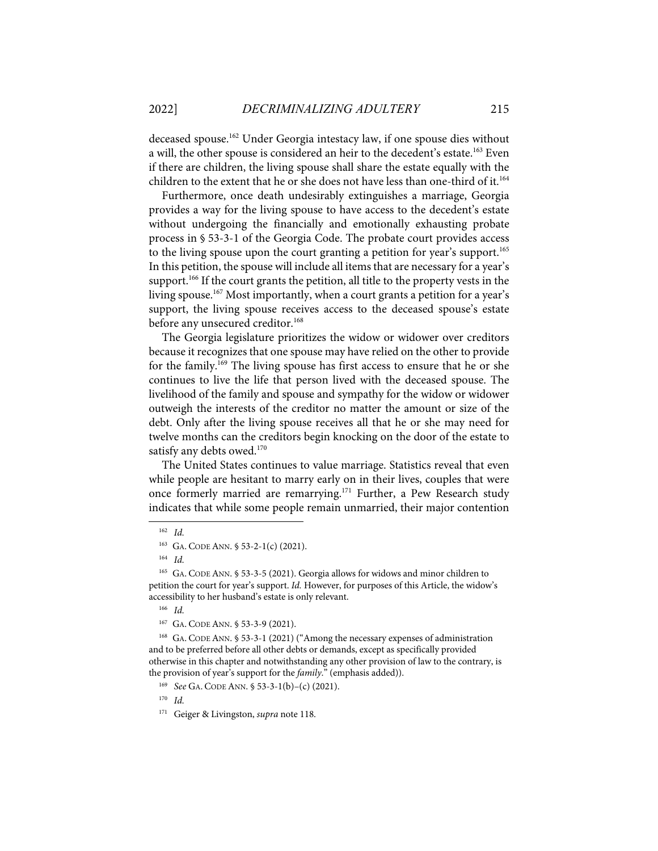deceased spouse.162 Under Georgia intestacy law, if one spouse dies without a will, the other spouse is considered an heir to the decedent's estate.<sup>163</sup> Even if there are children, the living spouse shall share the estate equally with the children to the extent that he or she does not have less than one-third of it.<sup>164</sup>

Furthermore, once death undesirably extinguishes a marriage, Georgia provides a way for the living spouse to have access to the decedent's estate without undergoing the financially and emotionally exhausting probate process in § 53-3-1 of the Georgia Code. The probate court provides access to the living spouse upon the court granting a petition for year's support.<sup>165</sup> In this petition, the spouse will include all items that are necessary for a year's support.<sup>166</sup> If the court grants the petition, all title to the property vests in the living spouse.<sup>167</sup> Most importantly, when a court grants a petition for a year's support, the living spouse receives access to the deceased spouse's estate before any unsecured creditor.<sup>168</sup>

The Georgia legislature prioritizes the widow or widower over creditors because it recognizes that one spouse may have relied on the other to provide for the family.<sup>169</sup> The living spouse has first access to ensure that he or she continues to live the life that person lived with the deceased spouse. The livelihood of the family and spouse and sympathy for the widow or widower outweigh the interests of the creditor no matter the amount or size of the debt. Only after the living spouse receives all that he or she may need for twelve months can the creditors begin knocking on the door of the estate to satisfy any debts owed. $^{170}$ 

The United States continues to value marriage. Statistics reveal that even while people are hesitant to marry early on in their lives, couples that were once formerly married are remarrying.<sup>171</sup> Further, a Pew Research study indicates that while some people remain unmarried, their major contention

<sup>162</sup> *Id.*

<sup>&</sup>lt;sup>163</sup> GA. CODE ANN. § 53-2-1(c) (2021).

<sup>164</sup> *Id.*

<sup>165</sup> GA. CODE ANN. § 53-3-5 (2021). Georgia allows for widows and minor children to petition the court for year's support. *Id.* However, for purposes of this Article, the widow's accessibility to her husband's estate is only relevant.

<sup>166</sup> *Id.*

<sup>167</sup> GA. CODE ANN. § 53-3-9 (2021).

<sup>168</sup> GA. CODE ANN. § 53-3-1 (2021) ("Among the necessary expenses of administration and to be preferred before all other debts or demands, except as specifically provided otherwise in this chapter and notwithstanding any other provision of law to the contrary, is the provision of year's support for the *family*." (emphasis added)).

<sup>169</sup> *See* GA. CODE ANN. § 53-3-1(b)–(c) (2021).

<sup>170</sup> *Id.*

<sup>171</sup> Geiger & Livingston, *supra* note 118.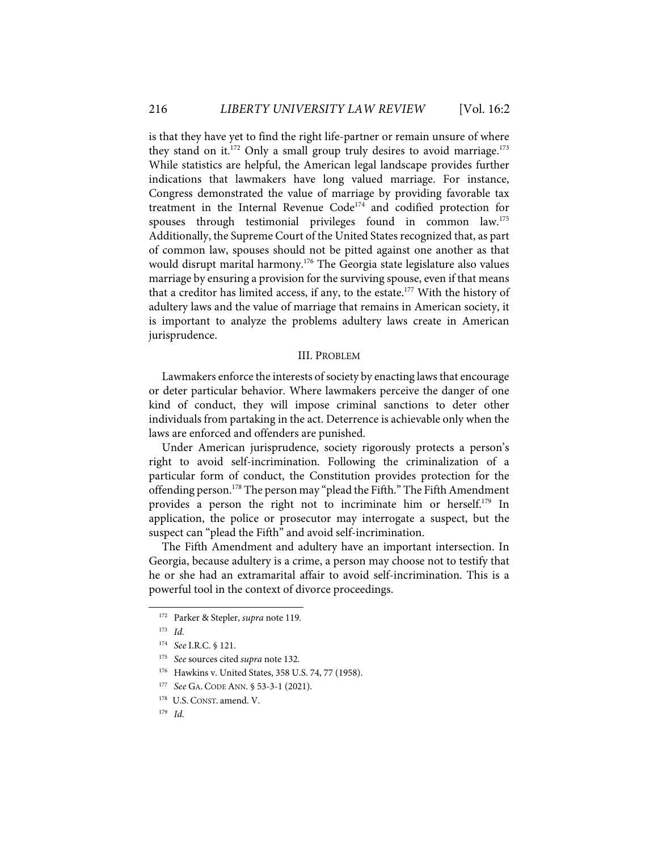is that they have yet to find the right life-partner or remain unsure of where they stand on it.<sup>172</sup> Only a small group truly desires to avoid marriage.<sup>173</sup> While statistics are helpful, the American legal landscape provides further indications that lawmakers have long valued marriage. For instance, Congress demonstrated the value of marriage by providing favorable tax treatment in the Internal Revenue Code<sup>174</sup> and codified protection for spouses through testimonial privileges found in common law.<sup>175</sup> Additionally, the Supreme Court of the United States recognized that, as part of common law, spouses should not be pitted against one another as that would disrupt marital harmony.<sup>176</sup> The Georgia state legislature also values marriage by ensuring a provision for the surviving spouse, even if that means that a creditor has limited access, if any, to the estate.<sup>177</sup> With the history of adultery laws and the value of marriage that remains in American society, it is important to analyze the problems adultery laws create in American jurisprudence.

# III. PROBLEM

Lawmakers enforce the interests of society by enacting laws that encourage or deter particular behavior. Where lawmakers perceive the danger of one kind of conduct, they will impose criminal sanctions to deter other individuals from partaking in the act. Deterrence is achievable only when the laws are enforced and offenders are punished.

Under American jurisprudence, society rigorously protects a person's right to avoid self-incrimination. Following the criminalization of a particular form of conduct, the Constitution provides protection for the offending person. <sup>178</sup> The person may "plead the Fifth." The Fifth Amendment provides a person the right not to incriminate him or herself.<sup>179</sup> In application, the police or prosecutor may interrogate a suspect, but the suspect can "plead the Fifth" and avoid self-incrimination.

The Fifth Amendment and adultery have an important intersection. In Georgia, because adultery is a crime, a person may choose not to testify that he or she had an extramarital affair to avoid self-incrimination. This is a powerful tool in the context of divorce proceedings.

<sup>172</sup> Parker & Stepler, *supra* note 119.

<sup>173</sup> *Id.*

<sup>174</sup> *See* I.R.C. § 121.

<sup>175</sup> *See* sources cited *supra* note 132.

<sup>176</sup> Hawkins v. United States, 358 U.S. 74, 77 (1958).

<sup>177</sup> *See* GA. CODE ANN. § 53-3-1 (2021).

<sup>&</sup>lt;sup>178</sup> U.S. CONST. amend. V.

<sup>179</sup> *Id.*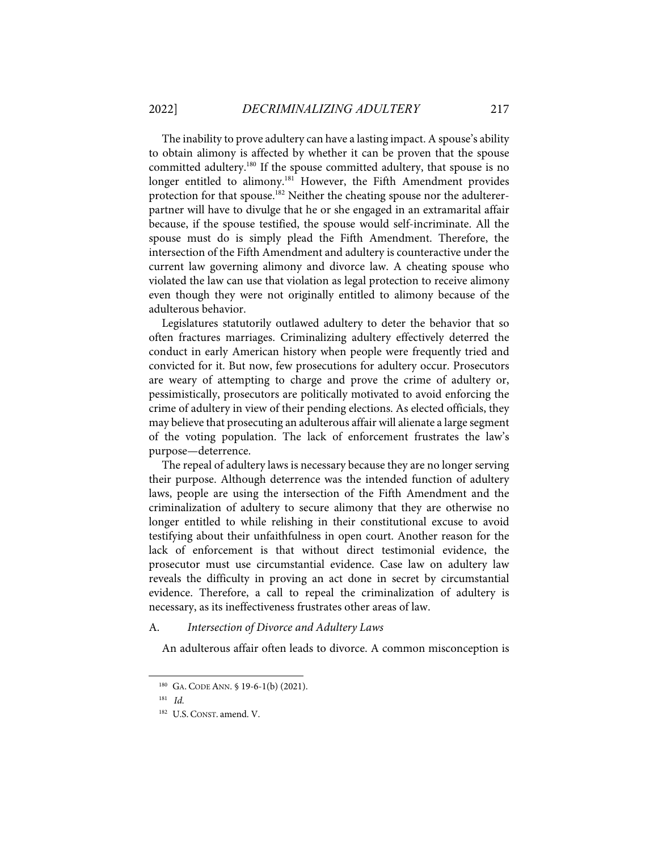The inability to prove adultery can have a lasting impact. A spouse's ability to obtain alimony is affected by whether it can be proven that the spouse committed adultery.<sup>180</sup> If the spouse committed adultery, that spouse is no longer entitled to alimony.<sup>181</sup> However, the Fifth Amendment provides protection for that spouse.<sup>182</sup> Neither the cheating spouse nor the adultererpartner will have to divulge that he or she engaged in an extramarital affair because, if the spouse testified, the spouse would self-incriminate. All the spouse must do is simply plead the Fifth Amendment. Therefore, the intersection of the Fifth Amendment and adultery is counteractive under the current law governing alimony and divorce law. A cheating spouse who violated the law can use that violation as legal protection to receive alimony even though they were not originally entitled to alimony because of the adulterous behavior.

Legislatures statutorily outlawed adultery to deter the behavior that so often fractures marriages. Criminalizing adultery effectively deterred the conduct in early American history when people were frequently tried and convicted for it. But now, few prosecutions for adultery occur. Prosecutors are weary of attempting to charge and prove the crime of adultery or, pessimistically, prosecutors are politically motivated to avoid enforcing the crime of adultery in view of their pending elections. As elected officials, they may believe that prosecuting an adulterous affair will alienate a large segment of the voting population. The lack of enforcement frustrates the law's purpose—deterrence.

The repeal of adultery laws is necessary because they are no longer serving their purpose. Although deterrence was the intended function of adultery laws, people are using the intersection of the Fifth Amendment and the criminalization of adultery to secure alimony that they are otherwise no longer entitled to while relishing in their constitutional excuse to avoid testifying about their unfaithfulness in open court. Another reason for the lack of enforcement is that without direct testimonial evidence, the prosecutor must use circumstantial evidence. Case law on adultery law reveals the difficulty in proving an act done in secret by circumstantial evidence. Therefore, a call to repeal the criminalization of adultery is necessary, as its ineffectiveness frustrates other areas of law.

#### A. *Intersection of Divorce and Adultery Laws*

An adulterous affair often leads to divorce. A common misconception is

<sup>180</sup> GA. CODE ANN. § 19-6-1(b) (2021).

<sup>181</sup> *Id.*

<sup>&</sup>lt;sup>182</sup> U.S. CONST. amend. V.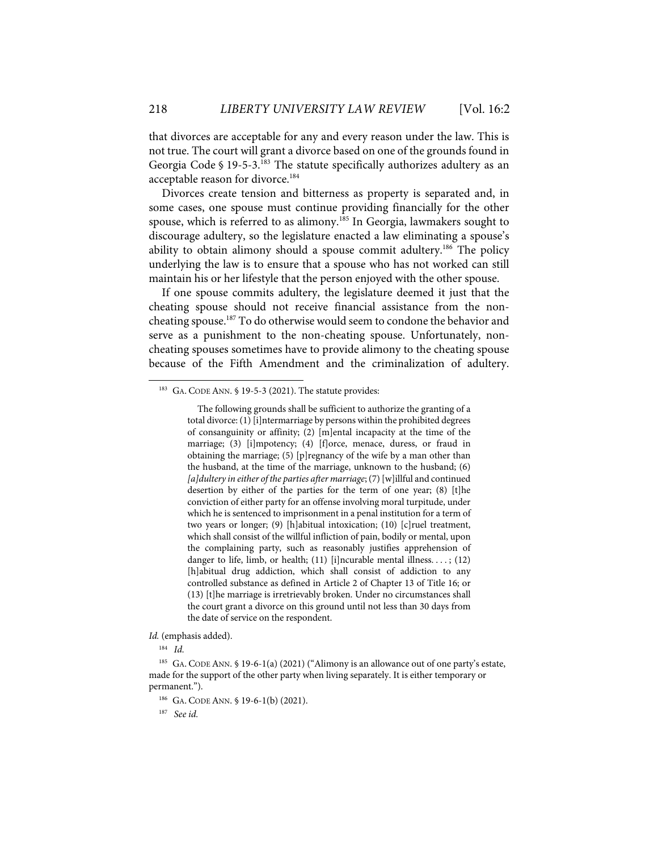that divorces are acceptable for any and every reason under the law. This is not true. The court will grant a divorce based on one of the grounds found in Georgia Code § 19-5-3.<sup>183</sup> The statute specifically authorizes adultery as an acceptable reason for divorce.<sup>184</sup>

Divorces create tension and bitterness as property is separated and, in some cases, one spouse must continue providing financially for the other spouse, which is referred to as alimony.<sup>185</sup> In Georgia, lawmakers sought to discourage adultery, so the legislature enacted a law eliminating a spouse's ability to obtain alimony should a spouse commit adultery.186 The policy underlying the law is to ensure that a spouse who has not worked can still maintain his or her lifestyle that the person enjoyed with the other spouse.

If one spouse commits adultery, the legislature deemed it just that the cheating spouse should not receive financial assistance from the noncheating spouse.187 To do otherwise would seem to condone the behavior and serve as a punishment to the non-cheating spouse. Unfortunately, noncheating spouses sometimes have to provide alimony to the cheating spouse because of the Fifth Amendment and the criminalization of adultery.

*Id.* (emphasis added).

<sup>184</sup> *Id.*

<sup>&</sup>lt;sup>183</sup> GA. CODE ANN. § 19-5-3 (2021). The statute provides:

The following grounds shall be sufficient to authorize the granting of a total divorce: (1) [i]ntermarriage by persons within the prohibited degrees of consanguinity or affinity; (2) [m]ental incapacity at the time of the marriage; (3) [i]mpotency; (4) [f]orce, menace, duress, or fraud in obtaining the marriage; (5) [p]regnancy of the wife by a man other than the husband, at the time of the marriage, unknown to the husband; (6) *[a]dultery in either of the parties after marriage*; (7) [w]illful and continued desertion by either of the parties for the term of one year; (8) [t]he conviction of either party for an offense involving moral turpitude, under which he is sentenced to imprisonment in a penal institution for a term of two years or longer; (9) [h]abitual intoxication; (10) [c]ruel treatment, which shall consist of the willful infliction of pain, bodily or mental, upon the complaining party, such as reasonably justifies apprehension of danger to life, limb, or health; (11) [i]ncurable mental illness...; (12) [h]abitual drug addiction, which shall consist of addiction to any controlled substance as defined in Article 2 of Chapter 13 of Title 16; or (13) [t]he marriage is irretrievably broken. Under no circumstances shall the court grant a divorce on this ground until not less than 30 days from the date of service on the respondent.

<sup>185</sup> GA. CODE ANN. § 19-6-1(a) (2021) ("Alimony is an allowance out of one party's estate, made for the support of the other party when living separately. It is either temporary or permanent.").

<sup>186</sup> GA. CODE ANN. § 19-6-1(b) (2021).

<sup>187</sup> *See id.*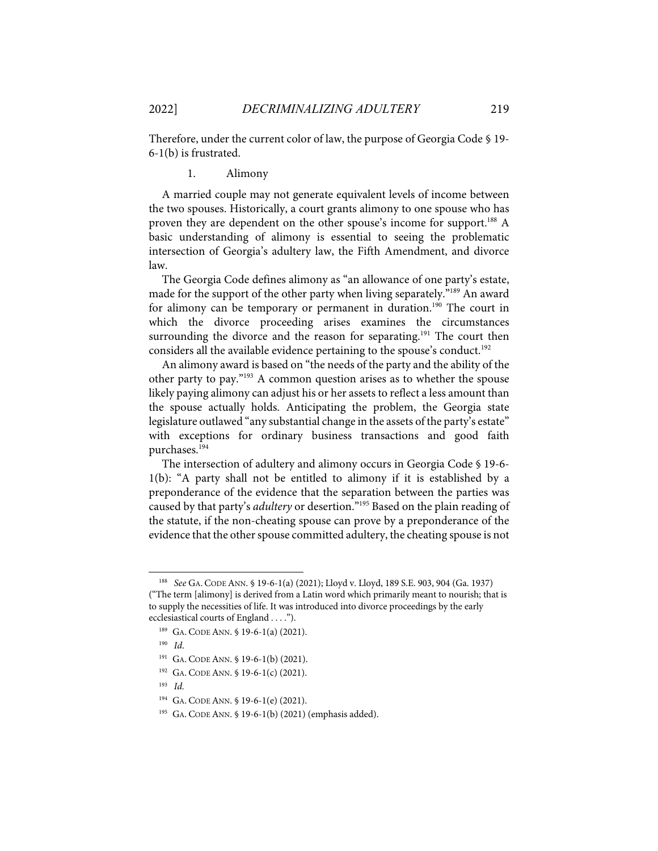Therefore, under the current color of law, the purpose of Georgia Code § 19- 6-1(b) is frustrated.

1. Alimony

A married couple may not generate equivalent levels of income between the two spouses. Historically, a court grants alimony to one spouse who has proven they are dependent on the other spouse's income for support.<sup>188</sup> A basic understanding of alimony is essential to seeing the problematic intersection of Georgia's adultery law, the Fifth Amendment, and divorce law.

The Georgia Code defines alimony as "an allowance of one party's estate, made for the support of the other party when living separately."189 An award for alimony can be temporary or permanent in duration.<sup>190</sup> The court in which the divorce proceeding arises examines the circumstances surrounding the divorce and the reason for separating.<sup>191</sup> The court then considers all the available evidence pertaining to the spouse's conduct.<sup>192</sup>

An alimony award is based on "the needs of the party and the ability of the other party to pay."193 A common question arises as to whether the spouse likely paying alimony can adjust his or her assets to reflect a less amount than the spouse actually holds. Anticipating the problem, the Georgia state legislature outlawed "any substantial change in the assets of the party's estate" with exceptions for ordinary business transactions and good faith purchases.194

The intersection of adultery and alimony occurs in Georgia Code § 19-6- 1(b): "A party shall not be entitled to alimony if it is established by a preponderance of the evidence that the separation between the parties was caused by that party's *adultery* or desertion."195 Based on the plain reading of the statute, if the non-cheating spouse can prove by a preponderance of the evidence that the other spouse committed adultery, the cheating spouse is not

<sup>188</sup> *See* GA. CODE ANN. § 19-6-1(a) (2021); Lloyd v. Lloyd, 189 S.E. 903, 904 (Ga. 1937) ("The term [alimony] is derived from a Latin word which primarily meant to nourish; that is to supply the necessities of life. It was introduced into divorce proceedings by the early ecclesiastical courts of England . . . .").

<sup>&</sup>lt;sup>189</sup> GA. CODE ANN. § 19-6-1(a) (2021).

<sup>190</sup> *Id*.

<sup>191</sup> GA. CODE ANN. § 19-6-1(b) (2021).

<sup>192</sup> GA. CODE ANN. § 19-6-1(c) (2021).

<sup>193</sup> *Id.*

<sup>194</sup> GA. CODE ANN. § 19-6-1(e) (2021).

<sup>195</sup> GA. CODE ANN. § 19-6-1(b) (2021) (emphasis added).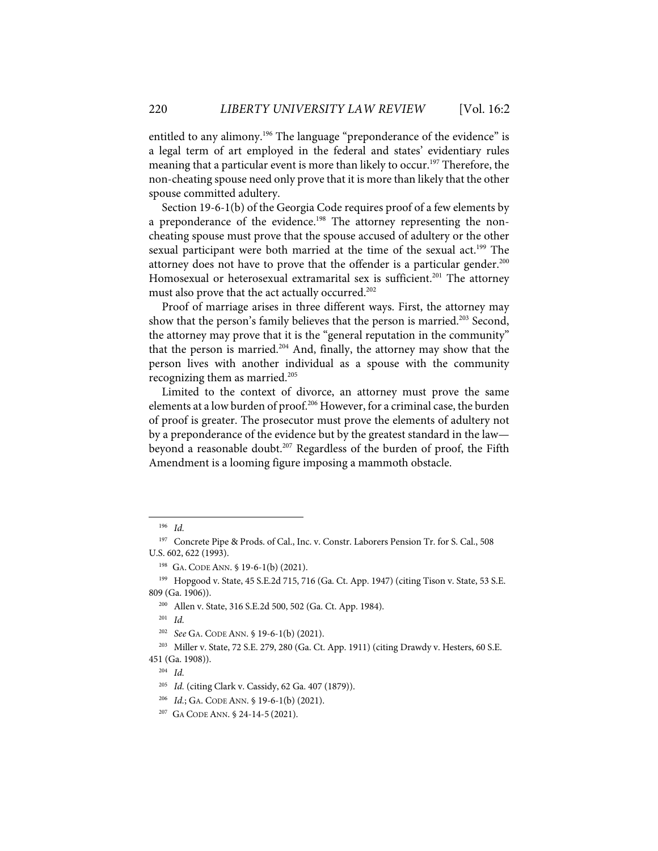entitled to any alimony.<sup>196</sup> The language "preponderance of the evidence" is a legal term of art employed in the federal and states' evidentiary rules meaning that a particular event is more than likely to occur.<sup>197</sup> Therefore, the non-cheating spouse need only prove that it is more than likely that the other spouse committed adultery.

Section 19-6-1(b) of the Georgia Code requires proof of a few elements by a preponderance of the evidence.<sup>198</sup> The attorney representing the noncheating spouse must prove that the spouse accused of adultery or the other sexual participant were both married at the time of the sexual act.<sup>199</sup> The attorney does not have to prove that the offender is a particular gender.<sup>200</sup> Homosexual or heterosexual extramarital sex is sufficient.<sup>201</sup> The attorney must also prove that the act actually occurred.<sup>202</sup>

Proof of marriage arises in three different ways. First, the attorney may show that the person's family believes that the person is married.<sup>203</sup> Second, the attorney may prove that it is the "general reputation in the community" that the person is married.<sup>204</sup> And, finally, the attorney may show that the person lives with another individual as a spouse with the community recognizing them as married.<sup>205</sup>

Limited to the context of divorce, an attorney must prove the same elements at a low burden of proof. <sup>206</sup> However, for a criminal case, the burden of proof is greater. The prosecutor must prove the elements of adultery not by a preponderance of the evidence but by the greatest standard in the law beyond a reasonable doubt.<sup>207</sup> Regardless of the burden of proof, the Fifth Amendment is a looming figure imposing a mammoth obstacle.

<sup>196</sup> *Id.*

<sup>&</sup>lt;sup>197</sup> Concrete Pipe & Prods. of Cal., Inc. v. Constr. Laborers Pension Tr. for S. Cal., 508 U.S. 602, 622 (1993).

<sup>198</sup> GA. CODE ANN. § 19-6-1(b) (2021).

<sup>199</sup> Hopgood v. State, 45 S.E.2d 715, 716 (Ga. Ct. App. 1947) (citing Tison v. State, 53 S.E. 809 (Ga. 1906)).

<sup>200</sup> Allen v. State, 316 S.E.2d 500, 502 (Ga. Ct. App. 1984).

<sup>201</sup> *Id.*

<sup>202</sup> *See* GA. CODE ANN. § 19-6-1(b) (2021).

<sup>&</sup>lt;sup>203</sup> Miller v. State, 72 S.E. 279, 280 (Ga. Ct. App. 1911) (citing Drawdy v. Hesters, 60 S.E. 451 (Ga. 1908)).

<sup>204</sup> *Id.*

<sup>205</sup> *Id.* (citing Clark v. Cassidy, 62 Ga. 407 (1879)).

<sup>206</sup> *Id.*; GA. CODE ANN. § 19-6-1(b) (2021).

<sup>207</sup> GA CODE ANN. § 24-14-5 (2021).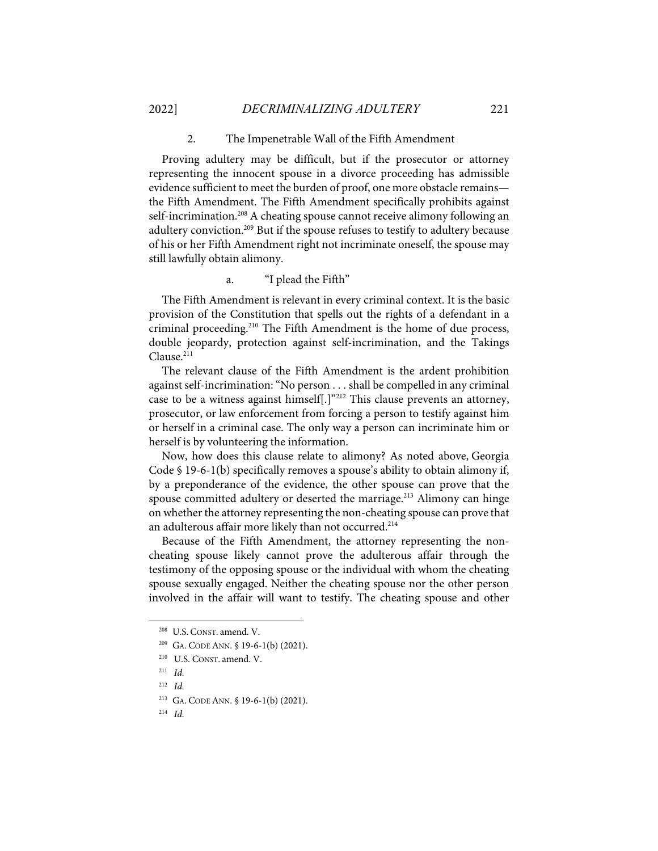#### 2. The Impenetrable Wall of the Fifth Amendment

Proving adultery may be difficult, but if the prosecutor or attorney representing the innocent spouse in a divorce proceeding has admissible evidence sufficient to meet the burden of proof, one more obstacle remains the Fifth Amendment. The Fifth Amendment specifically prohibits against self-incrimination.<sup>208</sup> A cheating spouse cannot receive alimony following an adultery conviction. <sup>209</sup> But if the spouse refuses to testify to adultery because of his or her Fifth Amendment right not incriminate oneself, the spouse may still lawfully obtain alimony.

#### a. "I plead the Fifth"

The Fifth Amendment is relevant in every criminal context. It is the basic provision of the Constitution that spells out the rights of a defendant in a criminal proceeding.<sup>210</sup> The Fifth Amendment is the home of due process, double jeopardy, protection against self-incrimination, and the Takings Clause.<sup>211</sup>

The relevant clause of the Fifth Amendment is the ardent prohibition against self-incrimination: "No person . . . shall be compelled in any criminal case to be a witness against himself[.]"<sup>212</sup> This clause prevents an attorney, prosecutor, or law enforcement from forcing a person to testify against him or herself in a criminal case. The only way a person can incriminate him or herself is by volunteering the information.

Now, how does this clause relate to alimony? As noted above, Georgia Code § 19-6-1(b) specifically removes a spouse's ability to obtain alimony if, by a preponderance of the evidence, the other spouse can prove that the spouse committed adultery or deserted the marriage.<sup>213</sup> Alimony can hinge on whether the attorney representing the non-cheating spouse can prove that an adulterous affair more likely than not occurred.<sup>214</sup>

Because of the Fifth Amendment, the attorney representing the noncheating spouse likely cannot prove the adulterous affair through the testimony of the opposing spouse or the individual with whom the cheating spouse sexually engaged. Neither the cheating spouse nor the other person involved in the affair will want to testify. The cheating spouse and other

<sup>208</sup> U.S. CONST. amend. V.

<sup>209</sup> GA. CODE ANN. § 19-6-1(b) (2021).

<sup>210</sup> U.S. CONST. amend. V.

<sup>211</sup> *Id.*

<sup>212</sup> *Id.*

<sup>213</sup> GA. CODE ANN. § 19-6-1(b) (2021).

<sup>214</sup> *Id.*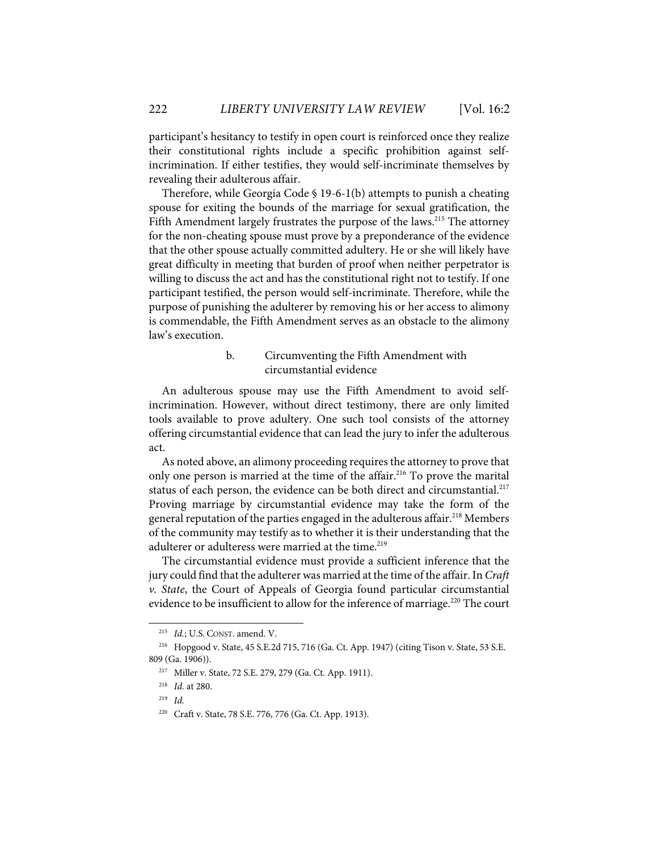participant's hesitancy to testify in open court is reinforced once they realize their constitutional rights include a specific prohibition against selfincrimination. If either testifies, they would self-incriminate themselves by revealing their adulterous affair.

Therefore, while Georgia Code § 19-6-1(b) attempts to punish a cheating spouse for exiting the bounds of the marriage for sexual gratification, the Fifth Amendment largely frustrates the purpose of the laws.<sup>215</sup> The attorney for the non-cheating spouse must prove by a preponderance of the evidence that the other spouse actually committed adultery. He or she will likely have great difficulty in meeting that burden of proof when neither perpetrator is willing to discuss the act and has the constitutional right not to testify. If one participant testified, the person would self-incriminate. Therefore, while the purpose of punishing the adulterer by removing his or her access to alimony is commendable, the Fifth Amendment serves as an obstacle to the alimony law's execution.

# b. Circumventing the Fifth Amendment with circumstantial evidence

An adulterous spouse may use the Fifth Amendment to avoid selfincrimination. However, without direct testimony, there are only limited tools available to prove adultery. One such tool consists of the attorney offering circumstantial evidence that can lead the jury to infer the adulterous act.

As noted above, an alimony proceeding requires the attorney to prove that only one person is married at the time of the affair.<sup>216</sup> To prove the marital status of each person, the evidence can be both direct and circumstantial.<sup>217</sup> Proving marriage by circumstantial evidence may take the form of the general reputation of the parties engaged in the adulterous affair.<sup>218</sup> Members of the community may testify as to whether it is their understanding that the adulterer or adulteress were married at the time.<sup>219</sup>

The circumstantial evidence must provide a sufficient inference that the jury could find that the adulterer was married at the time of the affair. In *Craft v. State*, the Court of Appeals of Georgia found particular circumstantial evidence to be insufficient to allow for the inference of marriage.<sup>220</sup> The court

<sup>215</sup> *Id.*; U.S. CONST. amend. V.

<sup>216</sup> Hopgood v. State, 45 S.E.2d 715, 716 (Ga. Ct. App. 1947) (citing Tison v. State, 53 S.E. 809 (Ga. 1906)).

<sup>217</sup> Miller v. State, 72 S.E. 279, 279 (Ga. Ct. App. 1911).

<sup>218</sup> *Id.* at 280.

<sup>219</sup> *Id.*

<sup>220</sup> Craft v. State, 78 S.E. 776, 776 (Ga. Ct. App. 1913).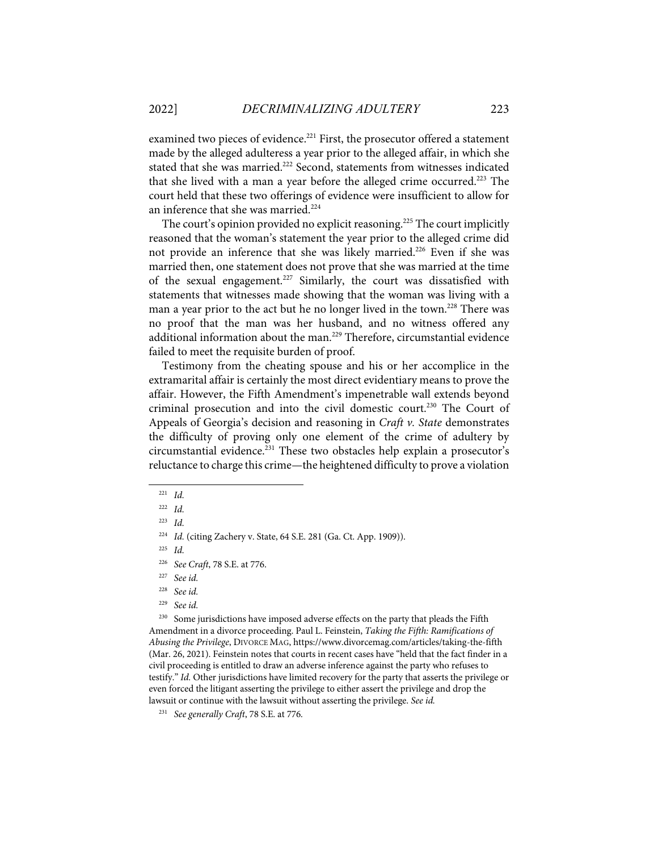examined two pieces of evidence.<sup>221</sup> First, the prosecutor offered a statement made by the alleged adulteress a year prior to the alleged affair, in which she stated that she was married.<sup>222</sup> Second, statements from witnesses indicated that she lived with a man a year before the alleged crime occurred.<sup>223</sup> The court held that these two offerings of evidence were insufficient to allow for an inference that she was married.<sup>224</sup>

The court's opinion provided no explicit reasoning.<sup>225</sup> The court implicitly reasoned that the woman's statement the year prior to the alleged crime did not provide an inference that she was likely married.<sup>226</sup> Even if she was married then, one statement does not prove that she was married at the time of the sexual engagement.<sup>227</sup> Similarly, the court was dissatisfied with statements that witnesses made showing that the woman was living with a man a year prior to the act but he no longer lived in the town.<sup>228</sup> There was no proof that the man was her husband, and no witness offered any additional information about the man.<sup>229</sup> Therefore, circumstantial evidence failed to meet the requisite burden of proof.

Testimony from the cheating spouse and his or her accomplice in the extramarital affair is certainly the most direct evidentiary means to prove the affair. However, the Fifth Amendment's impenetrable wall extends beyond criminal prosecution and into the civil domestic court.<sup>230</sup> The Court of Appeals of Georgia's decision and reasoning in *Craft v. State* demonstrates the difficulty of proving only one element of the crime of adultery by circumstantial evidence.<sup>231</sup> These two obstacles help explain a prosecutor's reluctance to charge this crime—the heightened difficulty to prove a violation

<sup>225</sup> *Id.*

<sup>229</sup> *See id.*

<sup>230</sup> Some jurisdictions have imposed adverse effects on the party that pleads the Fifth Amendment in a divorce proceeding. Paul L. Feinstein, *Taking the Fifth: Ramifications of Abusing the Privilege*, DIVORCE MAG, https://www.divorcemag.com/articles/taking-the-fifth (Mar. 26, 2021). Feinstein notes that courts in recent cases have "held that the fact finder in a civil proceeding is entitled to draw an adverse inference against the party who refuses to testify." *Id.* Other jurisdictions have limited recovery for the party that asserts the privilege or even forced the litigant asserting the privilege to either assert the privilege and drop the lawsuit or continue with the lawsuit without asserting the privilege. *See id.*

<sup>221</sup> *Id.*

<sup>222</sup> *Id.*

<sup>223</sup> *Id.*

<sup>224</sup> *Id.* (citing Zachery v. State, 64 S.E. 281 (Ga. Ct. App. 1909)).

<sup>226</sup> *See Craft*, 78 S.E. at 776.

<sup>227</sup> *See id.*

<sup>228</sup> *See id.*

<sup>231</sup> *See generally Craft*, 78 S.E. at 776*.*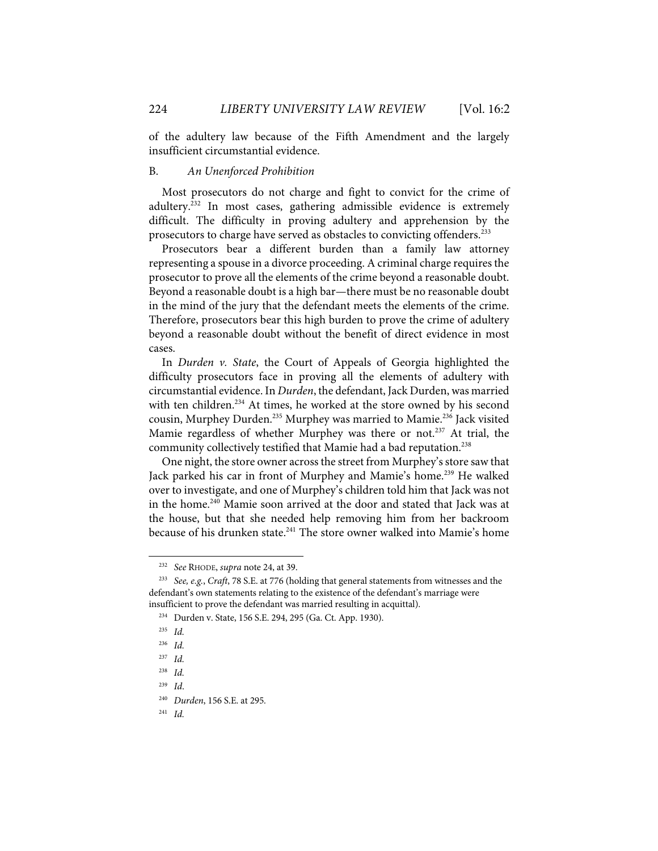of the adultery law because of the Fifth Amendment and the largely insufficient circumstantial evidence.

#### B. *An Unenforced Prohibition*

Most prosecutors do not charge and fight to convict for the crime of adultery.<sup>232</sup> In most cases, gathering admissible evidence is extremely difficult. The difficulty in proving adultery and apprehension by the prosecutors to charge have served as obstacles to convicting offenders.<sup>233</sup>

Prosecutors bear a different burden than a family law attorney representing a spouse in a divorce proceeding. A criminal charge requires the prosecutor to prove all the elements of the crime beyond a reasonable doubt. Beyond a reasonable doubt is a high bar—there must be no reasonable doubt in the mind of the jury that the defendant meets the elements of the crime. Therefore, prosecutors bear this high burden to prove the crime of adultery beyond a reasonable doubt without the benefit of direct evidence in most cases.

In *Durden v. State*, the Court of Appeals of Georgia highlighted the difficulty prosecutors face in proving all the elements of adultery with circumstantial evidence. In *Durden*, the defendant, Jack Durden, was married with ten children.<sup>234</sup> At times, he worked at the store owned by his second cousin, Murphey Durden.<sup>235</sup> Murphey was married to Mamie.<sup>236</sup> Jack visited Mamie regardless of whether Murphey was there or not.<sup>237</sup> At trial, the community collectively testified that Mamie had a bad reputation.<sup>238</sup>

One night, the store owner across the street from Murphey's store saw that Jack parked his car in front of Murphey and Mamie's home. <sup>239</sup> He walked over to investigate, and one of Murphey's children told him that Jack was not in the home. <sup>240</sup> Mamie soon arrived at the door and stated that Jack was at the house, but that she needed help removing him from her backroom because of his drunken state.<sup>241</sup> The store owner walked into Mamie's home

<sup>232</sup> *See* RHODE, *supra* note 24, at 39.

<sup>233</sup> *See, e.g.*, *Craft*, 78 S.E. at 776 (holding that general statements from witnesses and the defendant's own statements relating to the existence of the defendant's marriage were insufficient to prove the defendant was married resulting in acquittal).

<sup>234</sup> Durden v. State, 156 S.E. 294, 295 (Ga. Ct. App. 1930).

<sup>235</sup> *Id.*

<sup>236</sup> *Id.*

<sup>237</sup> *Id.*

<sup>238</sup> *Id.*

<sup>239</sup> *Id*.

<sup>240</sup> *Durden*, 156 S.E. at 295*.*

<sup>241</sup> *Id.*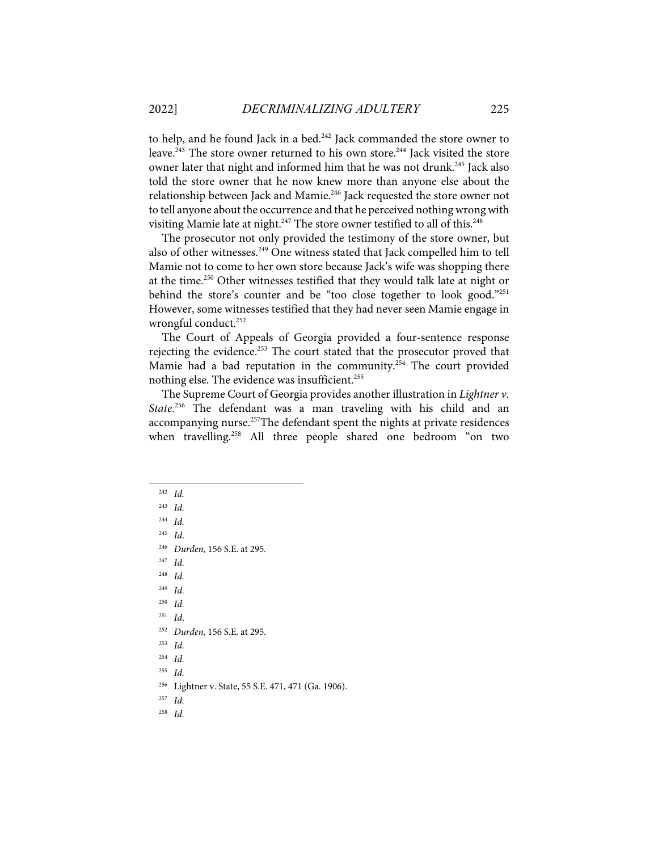to help, and he found Jack in a bed.<sup>242</sup> Jack commanded the store owner to leave.<sup>243</sup> The store owner returned to his own store.<sup>244</sup> Jack visited the store owner later that night and informed him that he was not drunk.<sup>245</sup> Jack also told the store owner that he now knew more than anyone else about the relationship between Jack and Mamie.<sup>246</sup> Jack requested the store owner not to tell anyone about the occurrence and that he perceived nothing wrong with visiting Mamie late at night.<sup>247</sup> The store owner testified to all of this.<sup>248</sup>

The prosecutor not only provided the testimony of the store owner, but also of other witnesses.<sup>249</sup> One witness stated that Jack compelled him to tell Mamie not to come to her own store because Jack's wife was shopping there at the time.<sup>250</sup> Other witnesses testified that they would talk late at night or behind the store's counter and be "too close together to look good."<sup>251</sup> However, some witnesses testified that they had never seen Mamie engage in wrongful conduct.<sup>252</sup>

The Court of Appeals of Georgia provided a four-sentence response rejecting the evidence.<sup>253</sup> The court stated that the prosecutor proved that Mamie had a bad reputation in the community.<sup>254</sup> The court provided nothing else. The evidence was insufficient.<sup>255</sup>

The Supreme Court of Georgia provides another illustration in *Lightner v. State*. <sup>256</sup> The defendant was a man traveling with his child and an accompanying nurse.<sup>257</sup>The defendant spent the nights at private residences when travelling.<sup>258</sup> All three people shared one bedroom "on two

- <sup>244</sup> *Id.*
- <sup>245</sup> *Id*.
- <sup>246</sup> *Durden*, 156 S.E. at 295*.*
- <sup>247</sup> *Id.*
- <sup>248</sup> *Id.*
- <sup>249</sup> *Id.*
- <sup>250</sup> *Id.*
- <sup>251</sup> *Id*.
- <sup>252</sup> *Durden*, 156 S.E. at 295*.*
- <sup>253</sup> *Id.*
- <sup>254</sup> *Id.*
- <sup>255</sup> *Id.*
- 256 Lightner v. State, 55 S.E. 471, 471 (Ga. 1906).
- <sup>257</sup> *Id.*
- 258 *Id.*

<sup>242</sup> *Id.*

<sup>243</sup> *Id.*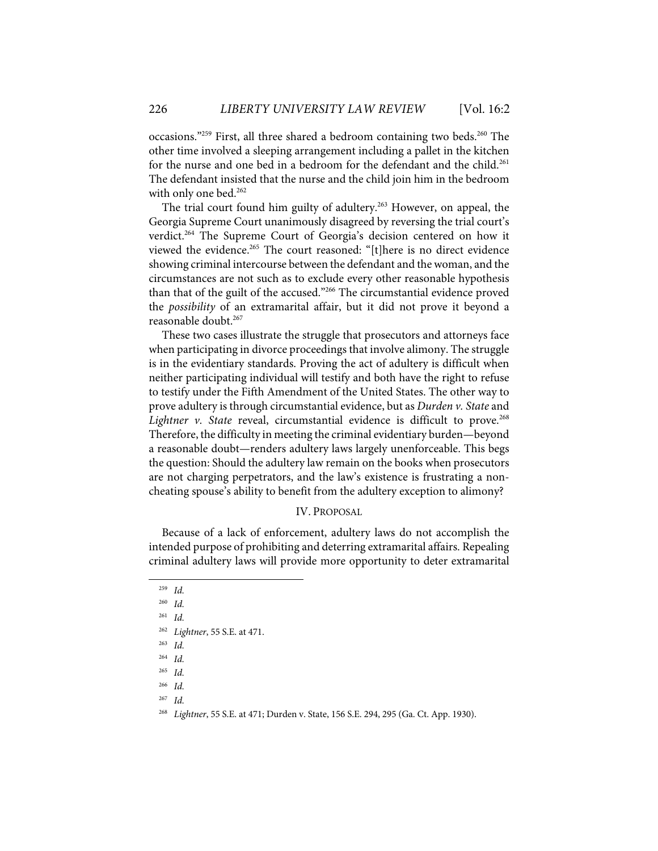occasions."<sup>259</sup> First, all three shared a bedroom containing two beds.<sup>260</sup> The other time involved a sleeping arrangement including a pallet in the kitchen for the nurse and one bed in a bedroom for the defendant and the child.<sup>261</sup> The defendant insisted that the nurse and the child join him in the bedroom with only one bed.<sup>262</sup>

The trial court found him guilty of adultery.<sup>263</sup> However, on appeal, the Georgia Supreme Court unanimously disagreed by reversing the trial court's verdict.<sup>264</sup> The Supreme Court of Georgia's decision centered on how it viewed the evidence.<sup>265</sup> The court reasoned: "[t]here is no direct evidence showing criminal intercourse between the defendant and the woman, and the circumstances are not such as to exclude every other reasonable hypothesis than that of the guilt of the accused."266 The circumstantial evidence proved the *possibility* of an extramarital affair, but it did not prove it beyond a reasonable doubt.267

These two cases illustrate the struggle that prosecutors and attorneys face when participating in divorce proceedings that involve alimony. The struggle is in the evidentiary standards. Proving the act of adultery is difficult when neither participating individual will testify and both have the right to refuse to testify under the Fifth Amendment of the United States. The other way to prove adultery is through circumstantial evidence, but as *Durden v. State* and Lightner v. State reveal, circumstantial evidence is difficult to prove.<sup>268</sup> Therefore, the difficulty in meeting the criminal evidentiary burden—beyond a reasonable doubt—renders adultery laws largely unenforceable. This begs the question: Should the adultery law remain on the books when prosecutors are not charging perpetrators, and the law's existence is frustrating a noncheating spouse's ability to benefit from the adultery exception to alimony?

#### IV. PROPOSAL

Because of a lack of enforcement, adultery laws do not accomplish the intended purpose of prohibiting and deterring extramarital affairs. Repealing criminal adultery laws will provide more opportunity to deter extramarital

<sup>267</sup> *Id.*

<sup>259</sup> *Id.*

<sup>260</sup> *Id.* 

<sup>261</sup> *Id.* 

<sup>262</sup> *Lightner*, 55 S.E. at 471.

<sup>263</sup> *Id.*

<sup>264</sup> *Id.* 

<sup>265</sup> *Id.*

<sup>266</sup> *Id.*

<sup>268</sup> *Lightner*, 55 S.E. at 471; Durden v. State, 156 S.E. 294, 295 (Ga. Ct. App. 1930).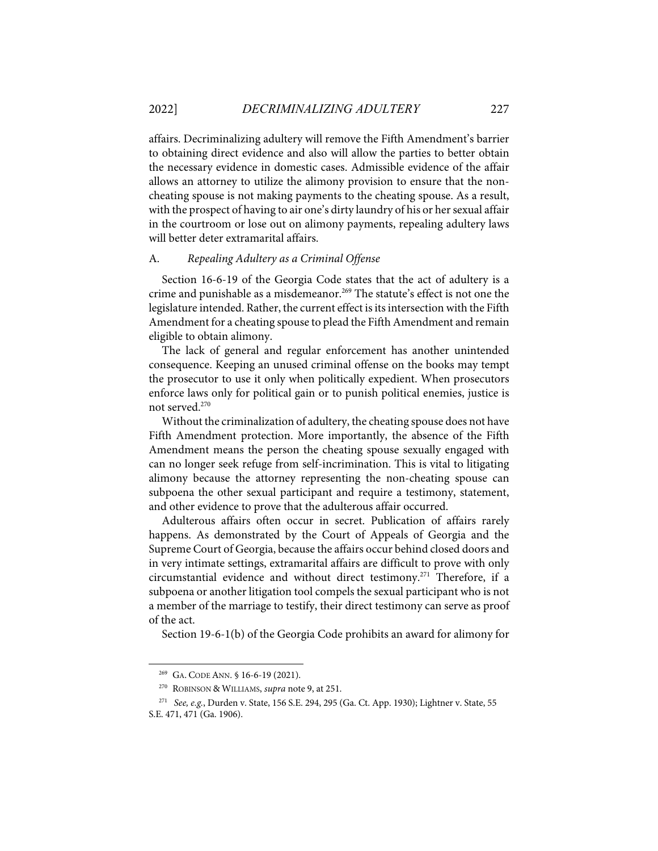affairs. Decriminalizing adultery will remove the Fifth Amendment's barrier to obtaining direct evidence and also will allow the parties to better obtain the necessary evidence in domestic cases. Admissible evidence of the affair allows an attorney to utilize the alimony provision to ensure that the noncheating spouse is not making payments to the cheating spouse. As a result, with the prospect of having to air one's dirty laundry of his or her sexual affair in the courtroom or lose out on alimony payments, repealing adultery laws will better deter extramarital affairs.

#### A. *Repealing Adultery as a Criminal Offense*

Section 16-6-19 of the Georgia Code states that the act of adultery is a crime and punishable as a misdemeanor.<sup>269</sup> The statute's effect is not one the legislature intended. Rather, the current effect is its intersection with the Fifth Amendment for a cheating spouse to plead the Fifth Amendment and remain eligible to obtain alimony.

The lack of general and regular enforcement has another unintended consequence. Keeping an unused criminal offense on the books may tempt the prosecutor to use it only when politically expedient. When prosecutors enforce laws only for political gain or to punish political enemies, justice is not served.270

Without the criminalization of adultery, the cheating spouse does not have Fifth Amendment protection. More importantly, the absence of the Fifth Amendment means the person the cheating spouse sexually engaged with can no longer seek refuge from self-incrimination. This is vital to litigating alimony because the attorney representing the non-cheating spouse can subpoena the other sexual participant and require a testimony, statement, and other evidence to prove that the adulterous affair occurred.

Adulterous affairs often occur in secret. Publication of affairs rarely happens. As demonstrated by the Court of Appeals of Georgia and the Supreme Court of Georgia, because the affairs occur behind closed doors and in very intimate settings, extramarital affairs are difficult to prove with only circumstantial evidence and without direct testimony.271 Therefore, if a subpoena or another litigation tool compels the sexual participant who is not a member of the marriage to testify, their direct testimony can serve as proof of the act.

Section 19-6-1(b) of the Georgia Code prohibits an award for alimony for

<sup>269</sup> GA. CODE ANN. § 16-6-19 (2021).

<sup>270</sup> ROBINSON & WILLIAMS, *supra* note 9, at 251.

<sup>271</sup> *See, e.g.*, Durden v. State, 156 S.E. 294, 295 (Ga. Ct. App. 1930); Lightner v. State, 55 S.E. 471, 471 (Ga. 1906).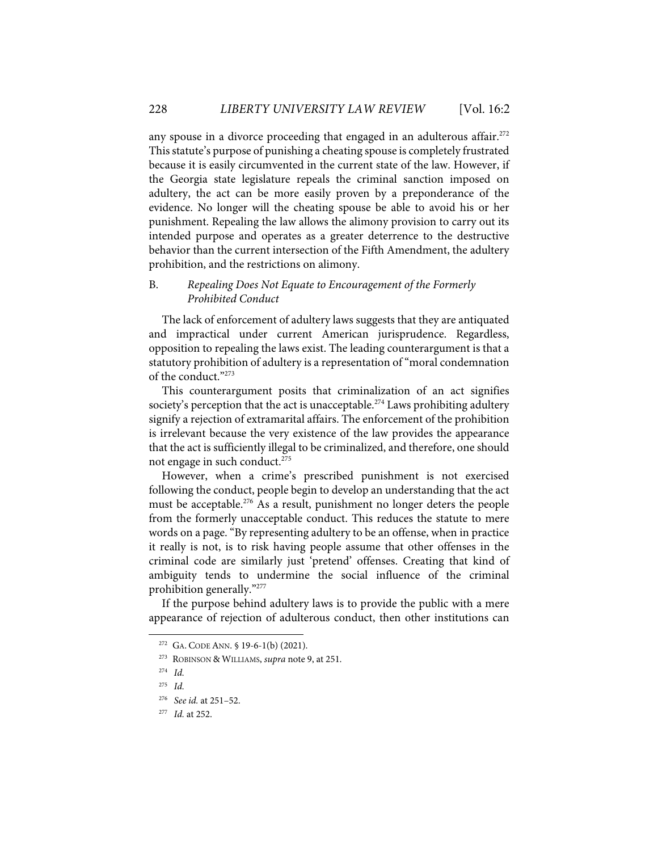any spouse in a divorce proceeding that engaged in an adulterous affair. $272$ This statute's purpose of punishing a cheating spouse is completely frustrated because it is easily circumvented in the current state of the law. However, if the Georgia state legislature repeals the criminal sanction imposed on adultery, the act can be more easily proven by a preponderance of the evidence. No longer will the cheating spouse be able to avoid his or her punishment. Repealing the law allows the alimony provision to carry out its intended purpose and operates as a greater deterrence to the destructive behavior than the current intersection of the Fifth Amendment, the adultery prohibition, and the restrictions on alimony.

# B. *Repealing Does Not Equate to Encouragement of the Formerly Prohibited Conduct*

The lack of enforcement of adultery laws suggests that they are antiquated and impractical under current American jurisprudence. Regardless, opposition to repealing the laws exist. The leading counterargument is that a statutory prohibition of adultery is a representation of "moral condemnation of the conduct."273

This counterargument posits that criminalization of an act signifies society's perception that the act is unacceptable.<sup>274</sup> Laws prohibiting adultery signify a rejection of extramarital affairs. The enforcement of the prohibition is irrelevant because the very existence of the law provides the appearance that the act is sufficiently illegal to be criminalized, and therefore, one should not engage in such conduct.<sup>275</sup>

However, when a crime's prescribed punishment is not exercised following the conduct, people begin to develop an understanding that the act must be acceptable.<sup>276</sup> As a result, punishment no longer deters the people from the formerly unacceptable conduct. This reduces the statute to mere words on a page. "By representing adultery to be an offense, when in practice it really is not, is to risk having people assume that other offenses in the criminal code are similarly just 'pretend' offenses. Creating that kind of ambiguity tends to undermine the social influence of the criminal prohibition generally."277

If the purpose behind adultery laws is to provide the public with a mere appearance of rejection of adulterous conduct, then other institutions can

<sup>272</sup> GA. CODE ANN. § 19-6-1(b) (2021).

<sup>273</sup> ROBINSON & WILLIAMS, *supra* note 9, at 251.

<sup>274</sup> *Id.*

<sup>275</sup> *Id.*

<sup>276</sup> *See id.* at 251–52.

<sup>277</sup> *Id.* at 252.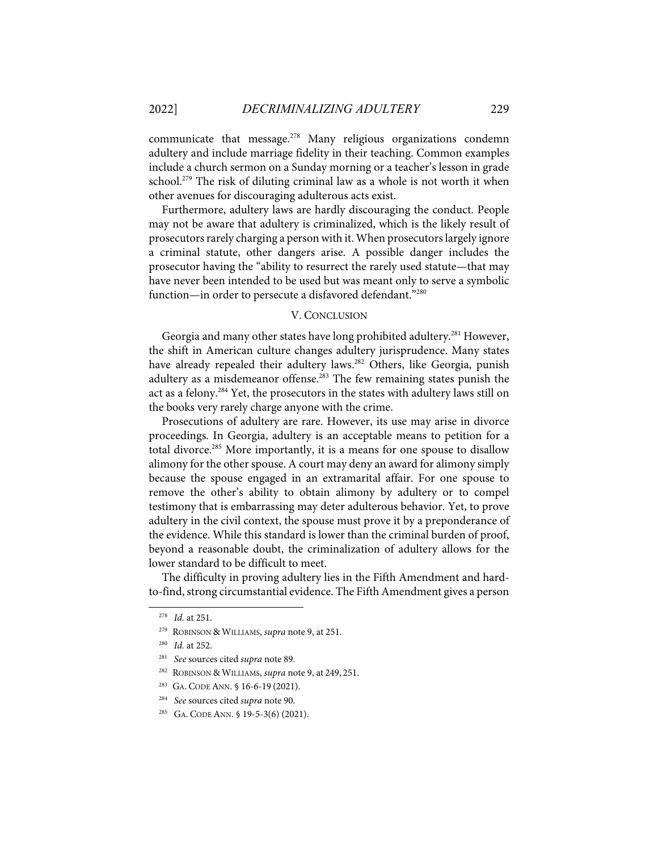communicate that message.<sup>278</sup> Many religious organizations condemn adultery and include marriage fidelity in their teaching. Common examples include a church sermon on a Sunday morning or a teacher's lesson in grade school.<sup>279</sup> The risk of diluting criminal law as a whole is not worth it when other avenues for discouraging adulterous acts exist.

Furthermore, adultery laws are hardly discouraging the conduct. People may not be aware that adultery is criminalized, which is the likely result of prosecutors rarely charging a person with it. When prosecutors largely ignore a criminal statute, other dangers arise. A possible danger includes the prosecutor having the "ability to resurrect the rarely used statute—that may have never been intended to be used but was meant only to serve a symbolic function—in order to persecute a disfavored defendant."<sup>280</sup>

#### V. CONCLUSION

Georgia and many other states have long prohibited adultery.<sup>281</sup> However, the shift in American culture changes adultery jurisprudence. Many states have already repealed their adultery laws.<sup>282</sup> Others, like Georgia, punish adultery as a misdemeanor offense. <sup>283</sup> The few remaining states punish the act as a felony.<sup>284</sup> Yet, the prosecutors in the states with adultery laws still on the books very rarely charge anyone with the crime.

Prosecutions of adultery are rare. However, its use may arise in divorce proceedings. In Georgia, adultery is an acceptable means to petition for a total divorce.<sup>285</sup> More importantly, it is a means for one spouse to disallow alimony for the other spouse. A court may deny an award for alimony simply because the spouse engaged in an extramarital affair. For one spouse to remove the other's ability to obtain alimony by adultery or to compel testimony that is embarrassing may deter adulterous behavior. Yet, to prove adultery in the civil context, the spouse must prove it by a preponderance of the evidence. While this standard is lower than the criminal burden of proof, beyond a reasonable doubt, the criminalization of adultery allows for the lower standard to be difficult to meet.

The difficulty in proving adultery lies in the Fifth Amendment and hardto-find, strong circumstantial evidence. The Fifth Amendment gives a person

<sup>278</sup> *Id.* at 251.

<sup>279</sup> ROBINSON & WILLIAMS, *supra* note 9, at 251.

<sup>280</sup> *Id.* at 252.

<sup>281</sup> *See* sources cited *supra* note 89.

<sup>282</sup> ROBINSON & WILLIAMS, *supra* note 9, at 249, 251.

<sup>283</sup> GA. CODE ANN. § 16-6-19 (2021).

<sup>284</sup> *See* sources cited *supra* note 90.

<sup>285</sup> GA. CODE ANN. § 19-5-3(6) (2021).